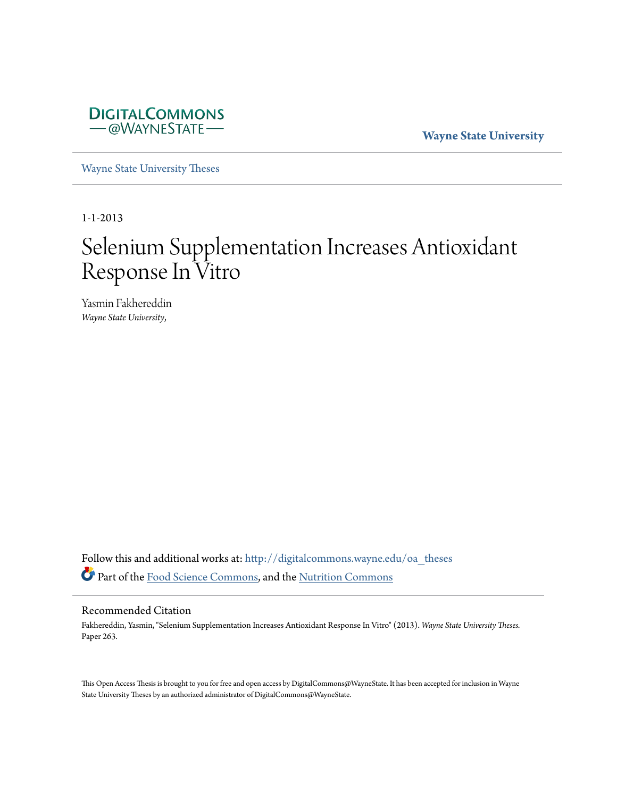

**Wayne State University**

[Wayne State University Theses](http://digitalcommons.wayne.edu/oa_theses?utm_source=digitalcommons.wayne.edu%2Foa_theses%2F263&utm_medium=PDF&utm_campaign=PDFCoverPages)

1-1-2013

# Selenium Supplementation Increases Antioxidant Response In Vitro

Yasmin Fakhereddin *Wayne State University*,

Follow this and additional works at: [http://digitalcommons.wayne.edu/oa\\_theses](http://digitalcommons.wayne.edu/oa_theses?utm_source=digitalcommons.wayne.edu%2Foa_theses%2F263&utm_medium=PDF&utm_campaign=PDFCoverPages) Part of the [Food Science Commons](http://network.bepress.com/hgg/discipline/84?utm_source=digitalcommons.wayne.edu%2Foa_theses%2F263&utm_medium=PDF&utm_campaign=PDFCoverPages), and the [Nutrition Commons](http://network.bepress.com/hgg/discipline/95?utm_source=digitalcommons.wayne.edu%2Foa_theses%2F263&utm_medium=PDF&utm_campaign=PDFCoverPages)

#### Recommended Citation

Fakhereddin, Yasmin, "Selenium Supplementation Increases Antioxidant Response In Vitro" (2013). *Wayne State University Theses.* Paper 263.

This Open Access Thesis is brought to you for free and open access by DigitalCommons@WayneState. It has been accepted for inclusion in Wayne State University Theses by an authorized administrator of DigitalCommons@WayneState.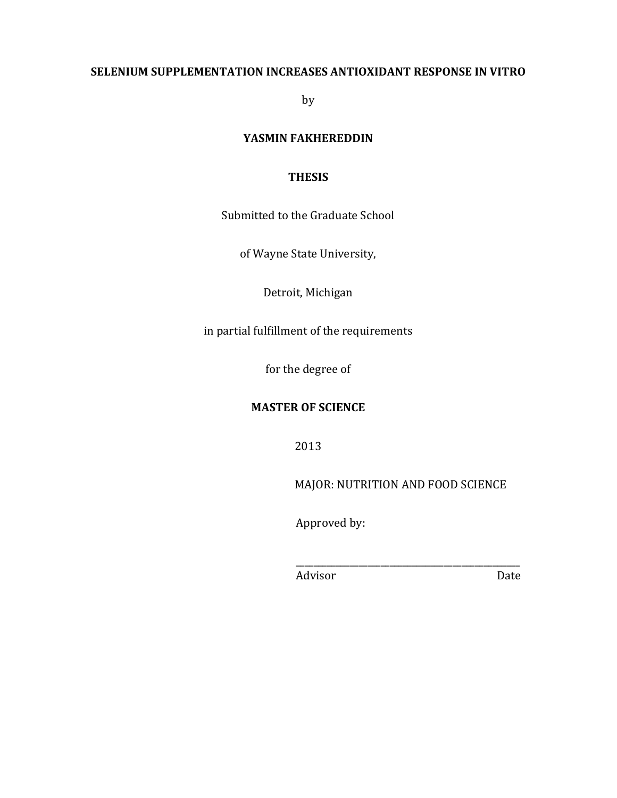## **SELENIUM SUPPLEMENTATION INCREASES ANTIOXIDANT RESPONSE IN VITRO**

by

## YASMIN FAKHEREDDIN

## **THESIS**

Submitted to the Graduate School

of Wayne State University,

Detroit, Michigan

in partial fulfillment of the requirements

for the degree of

## **MASTER OF SCIENCE**

2013

MAJOR: NUTRITION AND FOOD SCIENCE

!!!!!!!!!\_\_\_\_\_\_\_\_\_\_\_\_\_\_\_\_\_\_\_\_\_\_\_\_\_\_\_\_\_\_\_\_\_\_\_\_\_\_\_\_\_\_\_\_\_\_\_\_\_\_

Approved by:

!!!!!!!!!Advisor !!!!!!!!!!!!!!!!!!!!!!!!!!!!!!Date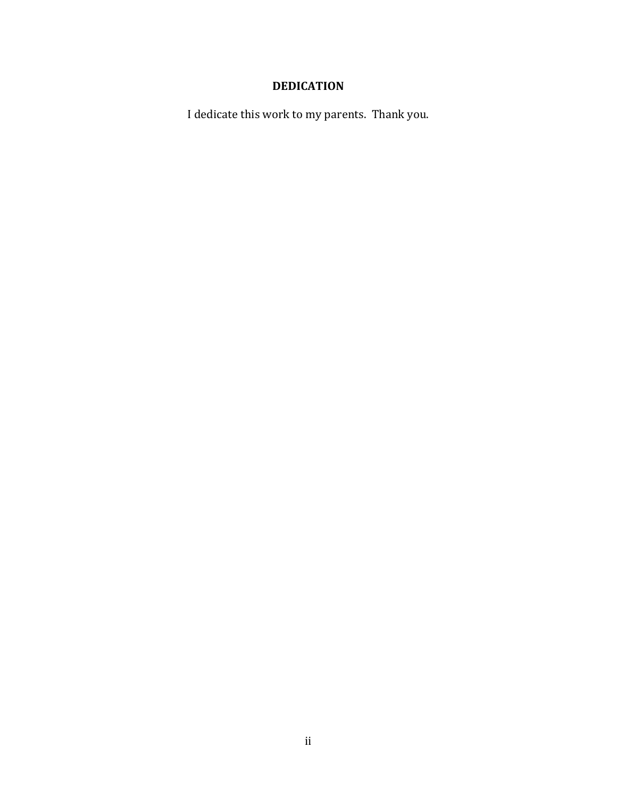# **DEDICATION**

I dedicate this work to my parents. Thank you.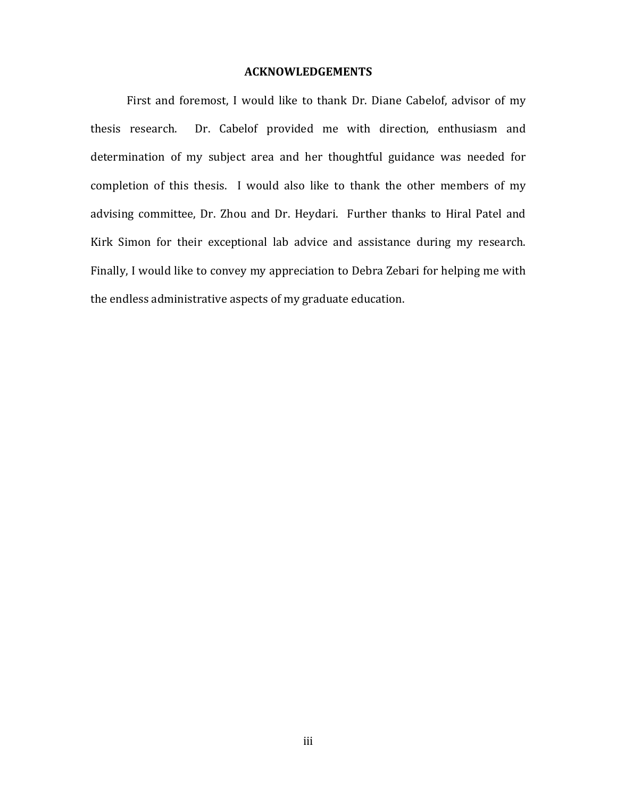#### **ACKNOWLEDGEMENTS**

First and foremost, I would like to thank Dr. Diane Cabelof, advisor of my thesis research. Dr. Cabelof provided me with direction, enthusiasm and determination of my subject area and her thoughtful guidance was needed for completion of this thesis. I would also like to thank the other members of my advising committee, Dr. Zhou and Dr. Heydari. Further thanks to Hiral Patel and Kirk Simon for their exceptional lab advice and assistance during my research. Finally, I would like to convey my appreciation to Debra Zebari for helping me with the endless administrative aspects of my graduate education.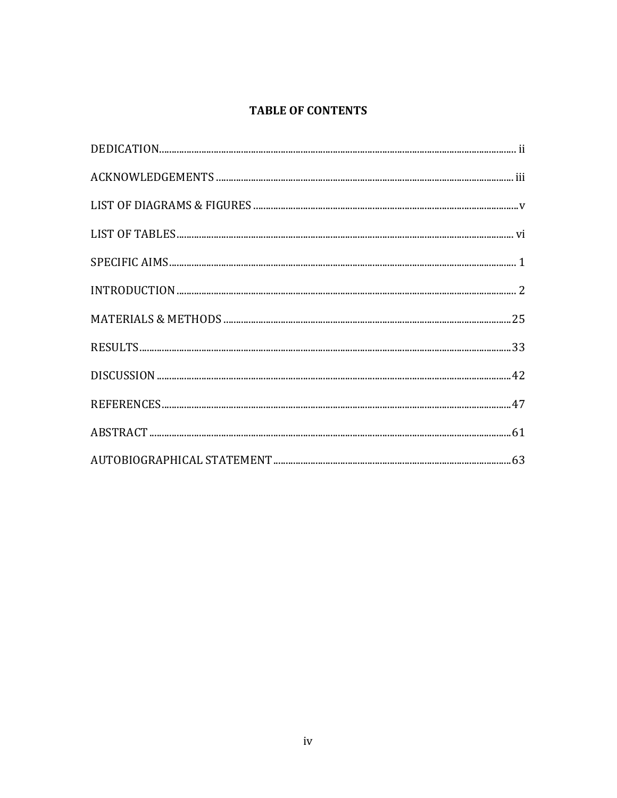# **TABLE OF CONTENTS**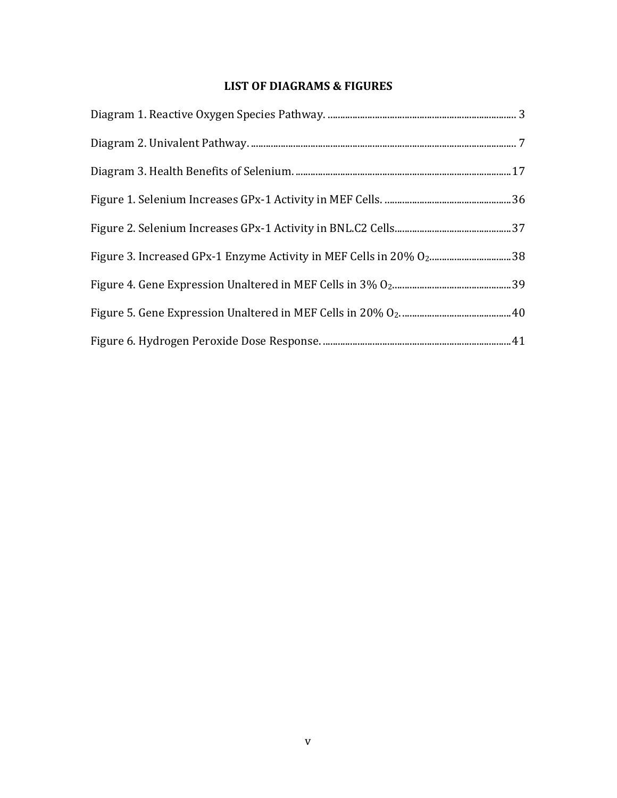# **LIST OF DIAGRAMS & FIGURES**

| Figure 3. Increased GPx-1 Enzyme Activity in MEF Cells in 20% O238 |  |
|--------------------------------------------------------------------|--|
|                                                                    |  |
|                                                                    |  |
|                                                                    |  |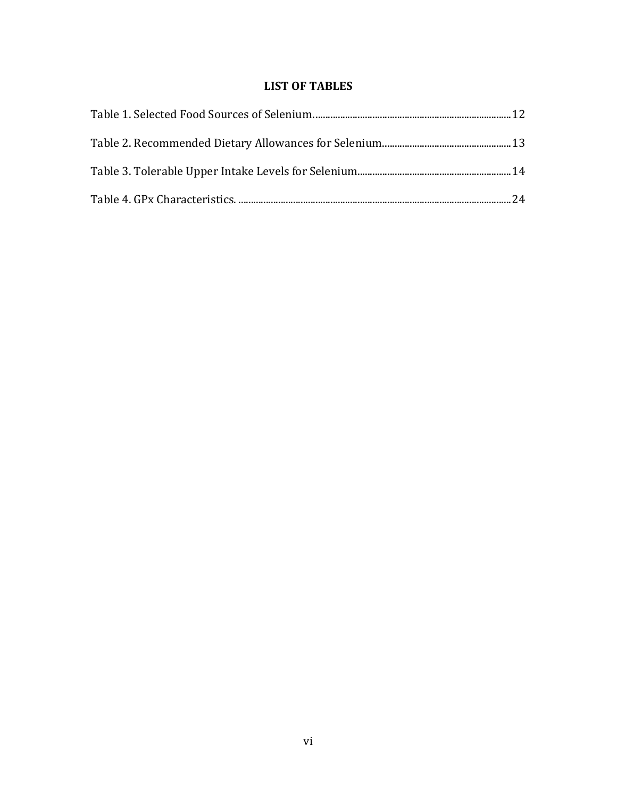# **LIST OF TABLES**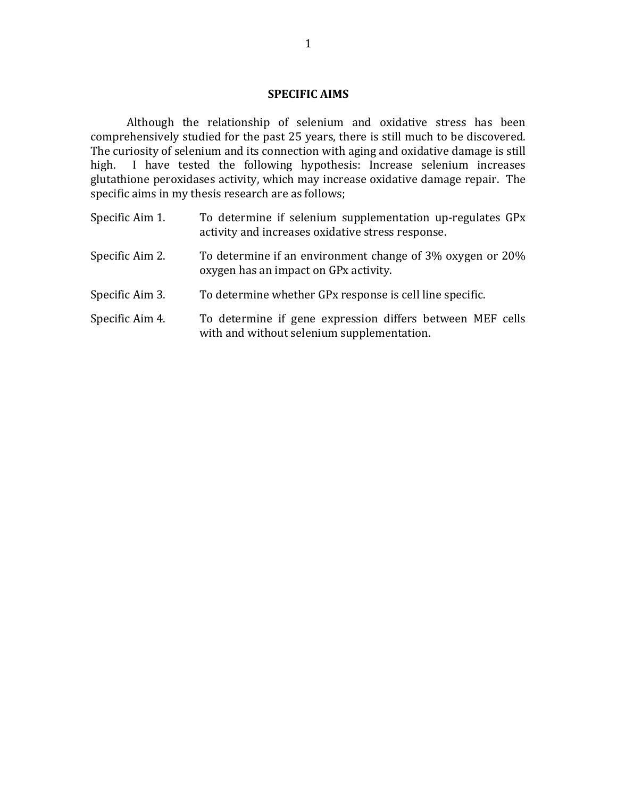#### **SPECIFIC AIMS**

Although the relationship of selenium and oxidative stress has been comprehensively studied for the past 25 years, there is still much to be discovered. The curiosity of selenium and its connection with aging and oxidative damage is still high. I have tested the following hypothesis: Increase selenium increases glutathione peroxidases activity, which may increase oxidative damage repair. The specific aims in my thesis research are as follows;

Specific Aim 1. To determine if selenium supplementation up-regulates  $GPx$ activity and increases oxidative stress response. Specific Aim 2. To determine if an environment change of 3% oxygen or 20% oxygen has an impact on GPx activity. Specific Aim 3. To determine whether GPx response is cell line specific. Specific Aim 4. To determine if gene expression differs between MEF cells with and without selenium supplementation.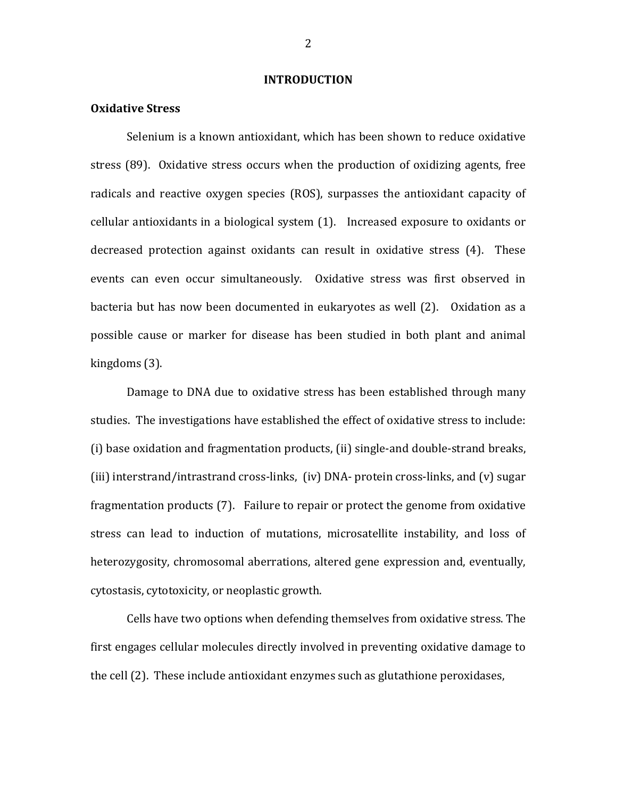#### **INTRODUCTION**

#### **Oxidative Stress**

Selenium is a known antioxidant, which has been shown to reduce oxidative stress (89). Oxidative stress occurs when the production of oxidizing agents, free radicals and reactive oxygen species (ROS), surpasses the antioxidant capacity of cellular antioxidants in a biological system  $(1)$ . Increased exposure to oxidants or decreased protection against oxidants can result in oxidative stress (4). These events can even occur simultaneously. Oxidative stress was first observed in bacteria but has now been documented in eukaryotes as well (2). Oxidation as a possible cause or marker for disease has been studied in both plant and animal kingdoms (3).

Damage to DNA due to oxidative stress has been established through many studies. The investigations have established the effect of oxidative stress to include: (i) base oxidation and fragmentation products, (ii) single-and double-strand breaks, (iii) interstrand/intrastrand cross-links, (iv)  $DNA$ - protein cross-links, and (v) sugar fragmentation products (7). Failure to repair or protect the genome from oxidative stress can lead to induction of mutations, microsatellite instability, and loss of heterozygosity, chromosomal aberrations, altered gene expression and, eventually, cytostasis, cytotoxicity, or neoplastic growth.

Cells have two options when defending themselves from oxidative stress. The first engages cellular molecules directly involved in preventing oxidative damage to the cell (2). These include antioxidant enzymes such as glutathione peroxidases,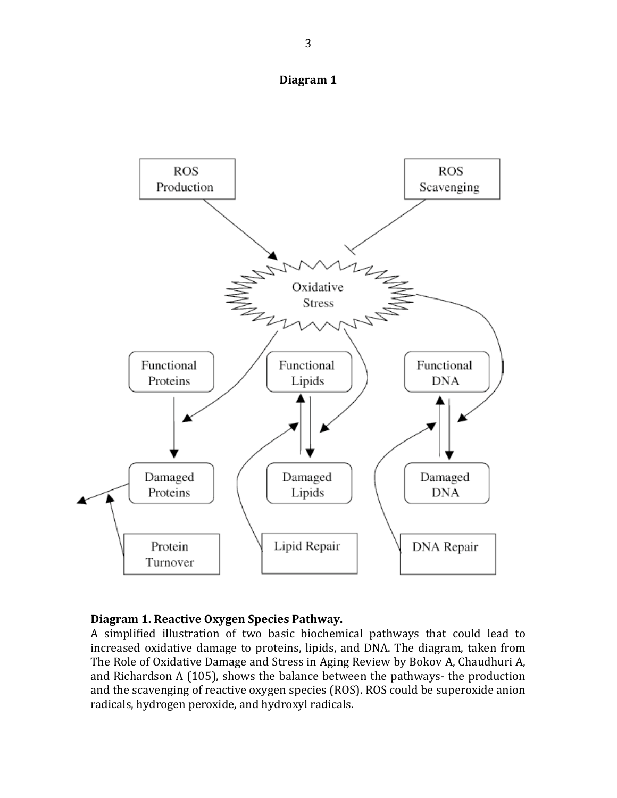



## Diagram 1. Reactive Oxygen Species Pathway.

A simplified illustration of two basic biochemical pathways that could lead to increased oxidative damage to proteins, lipids, and DNA. The diagram, taken from The Role of Oxidative Damage and Stress in Aging Review by Bokov A, Chaudhuri A, and Richardson A (105), shows the balance between the pathways- the production and the scavenging of reactive oxygen species (ROS). ROS could be superoxide anion radicals, hydrogen peroxide, and hydroxyl radicals.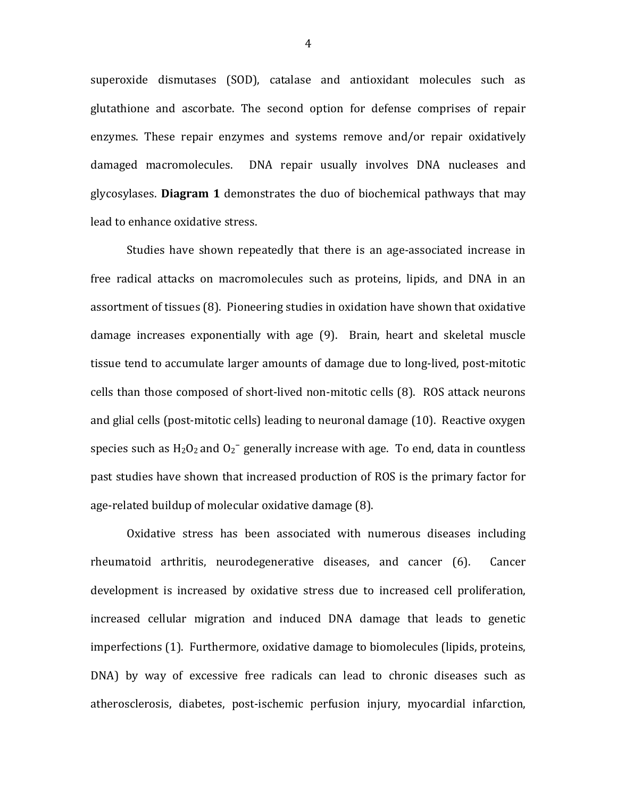superoxide dismutases (SOD), catalase and antioxidant molecules such as glutathione and ascorbate. The second option for defense comprises of repair enzymes. These repair enzymes and systems remove and/or repair oxidatively damaged macromolecules. DNA repair usually involves DNA nucleases and glycosylases. **Diagram 1** demonstrates the duo of biochemical pathways that may lead to enhance oxidative stress.

Studies have shown repeatedly that there is an age-associated increase in free radical attacks on macromolecules such as proteins, lipids, and DNA in an assortment of tissues (8). Pioneering studies in oxidation have shown that oxidative damage increases exponentially with age (9). Brain, heart and skeletal muscle tissue tend to accumulate larger amounts of damage due to long-lived, post-mitotic cells than those composed of short-lived non-mitotic cells (8). ROS attack neurons and glial cells (post-mitotic cells) leading to neuronal damage (10). Reactive oxygen species such as  $H_2O_2$  and  $O_2$ <sup>-</sup> generally increase with age. To end, data in countless past studies have shown that increased production of ROS is the primary factor for age-related buildup of molecular oxidative damage (8).

Oxidative stress has been associated with numerous diseases including rheumatoid arthritis, neurodegenerative diseases, and cancer (6). Cancer development is increased by oxidative stress due to increased cell proliferation, increased cellular migration and induced DNA damage that leads to genetic imperfections (1). Furthermore, oxidative damage to biomolecules (lipids, proteins, DNA) by way of excessive free radicals can lead to chronic diseases such as atherosclerosis, diabetes, post-ischemic perfusion injury, myocardial infarction,

4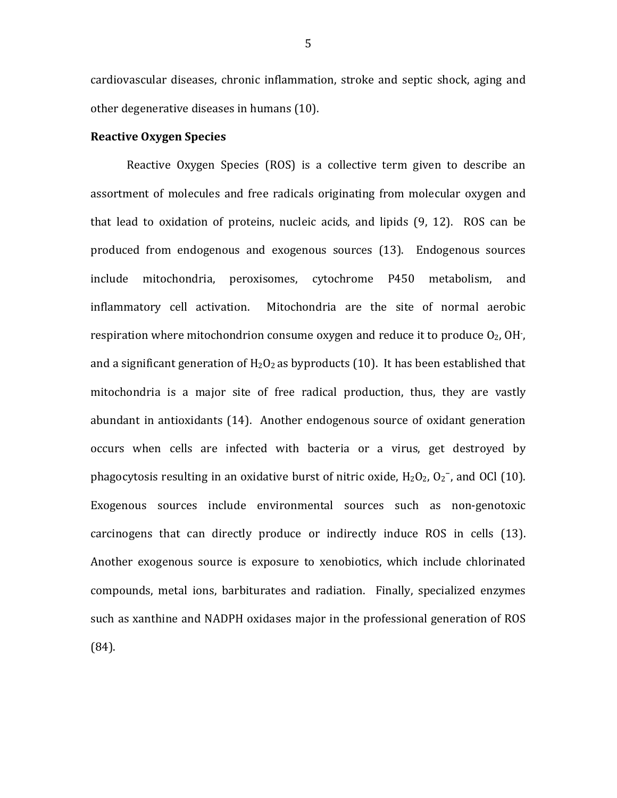cardiovascular diseases, chronic inflammation, stroke and septic shock, aging and other degenerative diseases in humans (10).

#### **Reactive Oxygen Species**

Reactive Oxygen Species (ROS) is a collective term given to describe an assortment of molecules and free radicals originating from molecular oxygen and that lead to oxidation of proteins, nucleic acids, and lipids (9, 12). ROS can be produced from endogenous and exogenous sources (13). Endogenous sources include mitochondria, peroxisomes, cytochrome P450 metabolism, and inflammatory cell activation. IMitochondria are the site of normal aerobic respiration where mitochondrion consume oxygen and reduce it to produce  $O<sub>2</sub>$ , OH<sup>-</sup>, and a significant generation of  $H_2O_2$  as byproducts (10). It has been established that mitochondria is a major site of free radical production, thus, they are vastly abundant in antioxidants  $(14)$ . Another endogenous source of oxidant generation occurs when cells are infected with bacteria or a virus, get destroyed by phagocytosis resulting in an oxidative burst of nitric oxide,  $H_2O_2$ ,  $O_2^-$ , and OCl (10). Exogenous sources include environmental sources such as non-genotoxic carcinogens that can directly produce or indirectly induce ROS in cells (13). Another exogenous source is exposure to xenobiotics, which include chlorinated compounds, metal ions, barbiturates and radiation. Finally, specialized enzymes such as xanthine and NADPH oxidases major in the professional generation of ROS (84).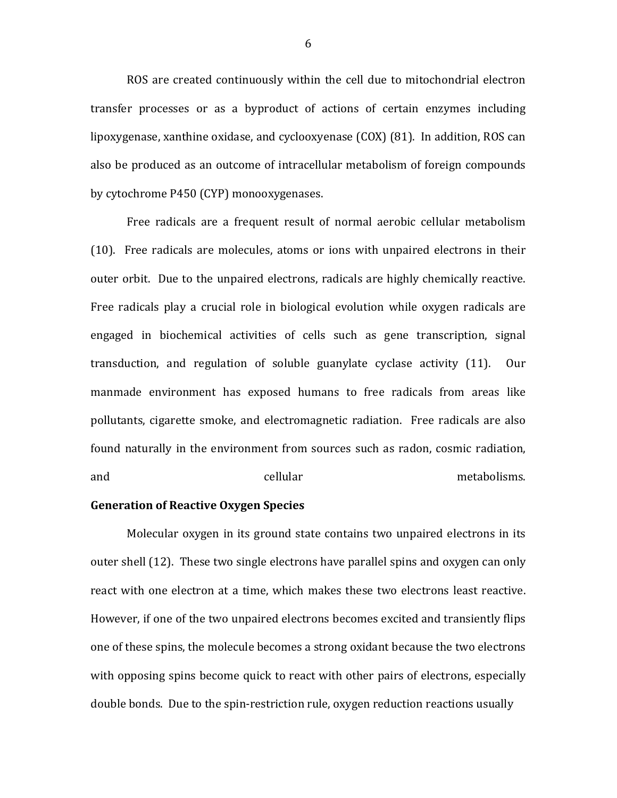ROS are created continuously within the cell due to mitochondrial electron transfer processes or as a byproduct of actions of certain enzymes including lipoxygenase, xanthine oxidase, and cyclooxyenase (COX) (81). In addition, ROS can also be produced as an outcome of intracellular metabolism of foreign compounds by cytochrome P450 (CYP) monooxygenases.

Free radicals are a frequent result of normal aerobic cellular metabolism (10). Free radicals are molecules, atoms or ions with unpaired electrons in their outer orbit. Due to the unpaired electrons, radicals are highly chemically reactive. Free radicals play a crucial role in biological evolution while oxygen radicals are engaged in biochemical activities of cells such as gene transcription, signal transduction, and regulation of soluble guanylate cyclase activity (11). Our manmade environment has exposed humans to free radicals from areas like pollutants, cigarette smoke, and electromagnetic radiation. Free radicals are also found naturally in the environment from sources such as radon, cosmic radiation, and the cellular control of the control of the control of the control of the control of the control of the control of the control of the control of the control of the control of the control of the control of the control of

## **Generation of Reactive Oxygen Species**

Molecular oxygen in its ground state contains two unpaired electrons in its outer shell (12). These two single electrons have parallel spins and oxygen can only react with one electron at a time, which makes these two electrons least reactive. However, if one of the two unpaired electrons becomes excited and transiently flips one of these spins, the molecule becomes a strong oxidant because the two electrons with opposing spins become quick to react with other pairs of electrons, especially double bonds. Due to the spin-restriction rule, oxygen reduction reactions usually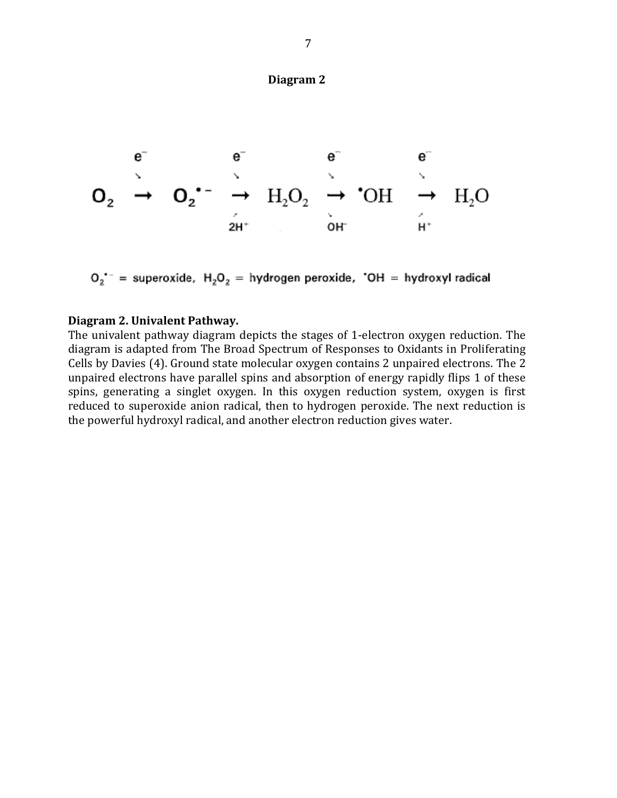## **Diagram**<sub>2</sub>



 $O_2$ <sup>--</sup> = superoxide,  $H_2O_2$  = hydrogen peroxide, 'OH = hydroxyl radical

#### **Diagram 2. Univalent Pathway.**

The univalent pathway diagram depicts the stages of 1-electron oxygen reduction. The diagram is adapted from The Broad Spectrum of Responses to Oxidants in Proliferating Cells by Davies (4). Ground state molecular oxygen contains 2 unpaired electrons. The 2 unpaired electrons have parallel spins and absorption of energy rapidly flips 1 of these spins, generating a singlet oxygen. In this oxygen reduction system, oxygen is first reduced to superoxide anion radical, then to hydrogen peroxide. The next reduction is the powerful hydroxyl radical, and another electron reduction gives water.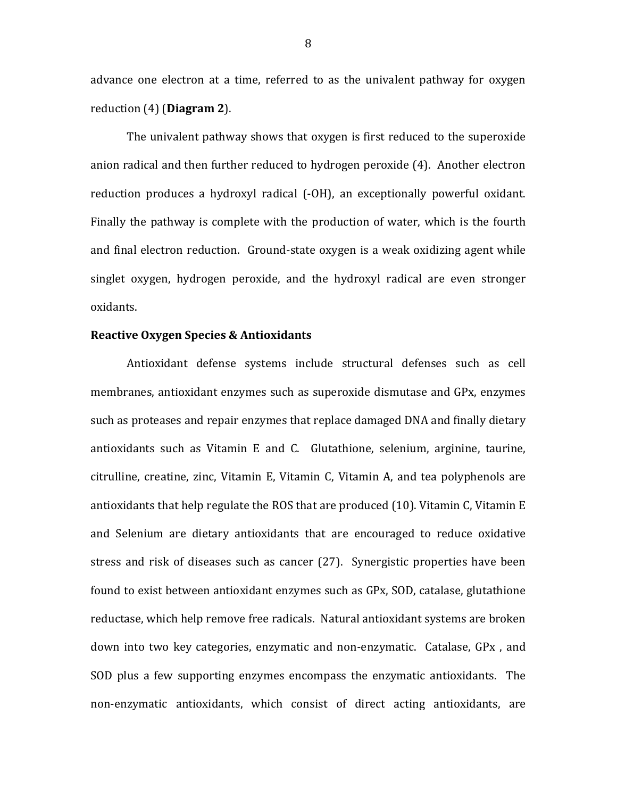advance one electron at a time, referred to as the univalent pathway for oxygen reduction (4) (**Diagram 2**).

The univalent pathway shows that oxygen is first reduced to the superoxide anion radical and then further reduced to hydrogen peroxide  $(4)$ . Another electron reduction produces a hydroxyl radical (-OH), an exceptionally powerful oxidant. Finally the pathway is complete with the production of water, which is the fourth and final electron reduction. Ground-state oxygen is a weak oxidizing agent while singlet oxygen, hydrogen peroxide, and the hydroxyl radical are even stronger oxidants.

#### **Reactive Oxygen Species & Antioxidants**

Antioxidant defense systems include structural defenses such as cell membranes, antioxidant enzymes such as superoxide dismutase and GPx, enzymes such as proteases and repair enzymes that replace damaged DNA and finally dietary antioxidants such as Vitamin E and C. Glutathione, selenium, arginine, taurine, citrulline, creatine, zinc, Vitamin E, Vitamin C, Vitamin A, and tea polyphenols are antioxidants that help regulate the ROS that are produced  $(10)$ . Vitamin C, Vitamin E and Selenium are dietary antioxidants that are encouraged to reduce oxidative stress and risk of diseases such as cancer (27). Synergistic properties have been found to exist between antioxidant enzymes such as GPx, SOD, catalase, glutathione reductase, which help remove free radicals. Natural antioxidant systems are broken down into two key categories, enzymatic and non-enzymatic. Catalase, GPx, and SOD plus a few supporting enzymes encompass the enzymatic antioxidants. The non-enzymatic antioxidants, which consist of direct acting antioxidants, are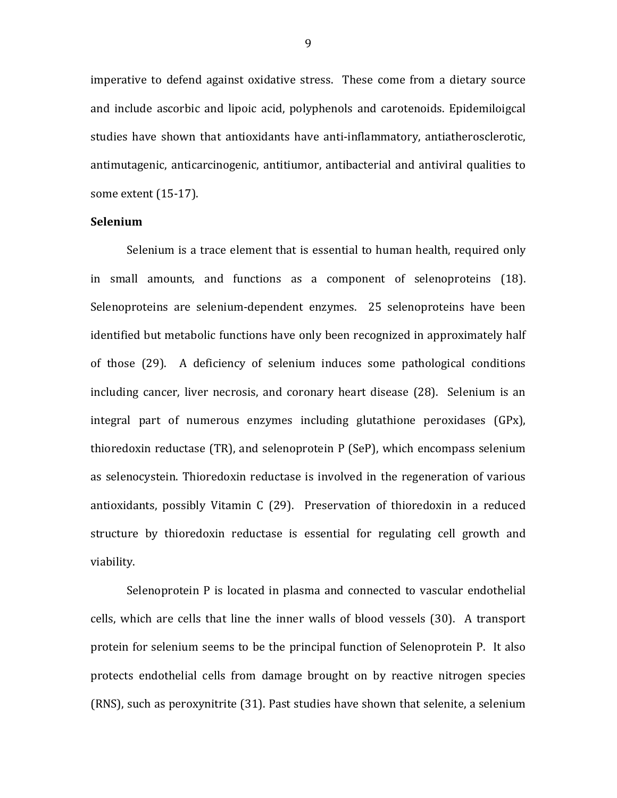imperative to defend against oxidative stress. These come from a dietary source and include ascorbic and lipoic acid, polyphenols and carotenoids. Epidemiloigcal studies have shown that antioxidants have anti-inflammatory, antiatherosclerotic, antimutagenic, anticarcinogenic, antitiumor, antibacterial and antiviral qualities to some extent (15-17).

### **Selenium**

Selenium is a trace element that is essential to human health, required only in small amounts, and functions as a component of selenoproteins (18). Selenoproteins are selenium-dependent enzymes. 25 selenoproteins have been identified but metabolic functions have only been recognized in approximately half of those (29). A deficiency of selenium induces some pathological conditions including cancer, liver necrosis, and coronary heart disease (28). Selenium is an integral part of numerous enzymes including glutathione peroxidases  $(GPx)$ , thioredoxin reductase (TR), and selenoprotein  $P$  (SeP), which encompass selenium as selenocystein. Thioredoxin reductase is involved in the regeneration of various antioxidants, possibly Vitamin C (29). Preservation of thioredoxin in a reduced structure by thioredoxin reductase is essential for regulating cell growth and viability.

Selenoprotein P is located in plasma and connected to vascular endothelial cells, which are cells that line the inner walls of blood vessels (30). A transport protein for selenium seems to be the principal function of Selenoprotein P. It also protects endothelial cells from damage brought on by reactive nitrogen species (RNS), such as peroxynitrite  $(31)$ . Past studies have shown that selenite, a selenium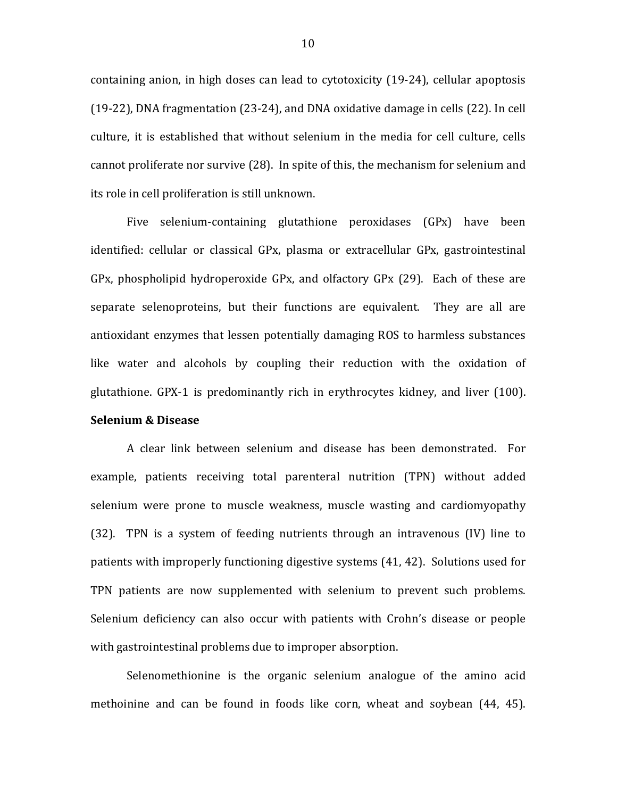containing anion, in high doses can lead to cytotoxicity (19-24), cellular apoptosis (19-22), DNA fragmentation (23-24), and DNA oxidative damage in cells (22). In cell culture, it is established that without selenium in the media for cell culture, cells cannot proliferate nor survive (28). In spite of this, the mechanism for selenium and its role in cell proliferation is still unknown.

Five selenium-containing glutathione peroxidases (GPx) have been identified: cellular or classical GPx, plasma or extracellular GPx, gastrointestinal GPx, phospholipid hydroperoxide GPx, and olfactory GPx  $(29)$ . Each of these are separate selenoproteins, but their functions are equivalent. They are all are antioxidant enzymes that lessen potentially damaging ROS to harmless substances like water and alcohols by coupling their reduction with the oxidation of glutathione. GPX-1 is predominantly rich in erythrocytes kidney, and liver  $(100)$ .

## **Selenium & Disease**

A clear link between selenium and disease has been demonstrated. For example, patients receiving total parenteral nutrition (TPN) without added selenium were prone to muscle weakness, muscle wasting and cardiomyopathy  $(32)$ . TPN is a system of feeding nutrients through an intravenous  $(IV)$  line to patients with improperly functioning digestive systems  $(41, 42)$ . Solutions used for TPN patients are now supplemented with selenium to prevent such problems. Selenium deficiency can also occur with patients with Crohn's disease or people with gastrointestinal problems due to improper absorption.

Selenomethionine is the organic selenium analogue of the amino acid methoinine and can be found in foods like corn, wheat and soybean (44, 45).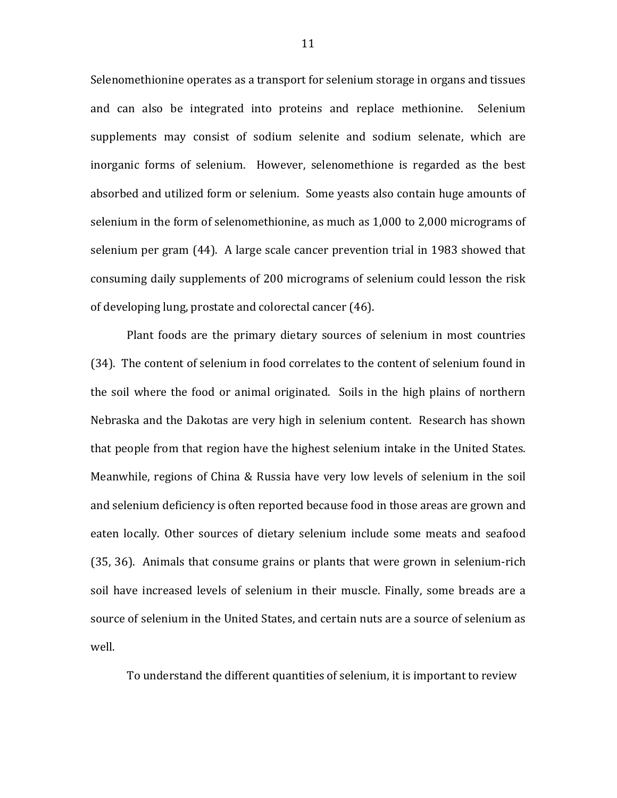Selenomethionine operates as a transport for selenium storage in organs and tissues and can also be integrated into proteins and replace methionine. Selenium supplements may consist of sodium selenite and sodium selenate, which are inorganic forms of selenium. However, selenomethione is regarded as the best absorbed and utilized form or selenium. Some yeasts also contain huge amounts of selenium in the form of selenomethionine, as much as 1,000 to 2,000 micrograms of selenium per gram  $(44)$ . A large scale cancer prevention trial in 1983 showed that consuming daily supplements of 200 micrograms of selenium could lesson the risk of developing lung, prostate and colorectal cancer (46).

Plant foods are the primary dietary sources of selenium in most countries (34). The content of selenium in food correlates to the content of selenium found in the soil where the food or animal originated. Soils in the high plains of northern Nebraska and the Dakotas are very high in selenium content. Research has shown that people from that region have the highest selenium intake in the United States. Meanwhile, regions of China & Russia have very low levels of selenium in the soil and selenium deficiency is often reported because food in those areas are grown and eaten locally. Other sources of dietary selenium include some meats and seafood  $(35, 36)$ . Animals that consume grains or plants that were grown in selenium-rich soil have increased levels of selenium in their muscle. Finally, some breads are a source of selenium in the United States, and certain nuts are a source of selenium as well.

To understand the different quantities of selenium, it is important to review

11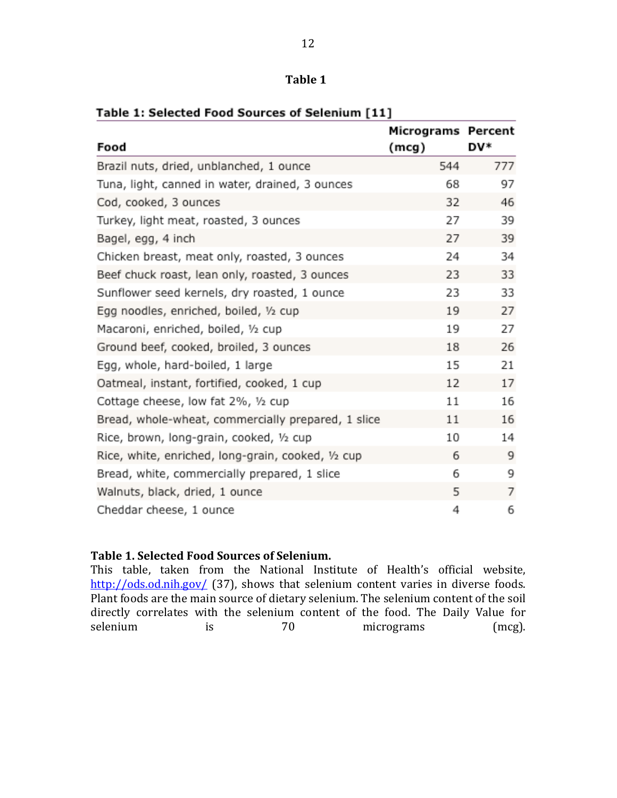## Table 1

| Food                                               | Micrograms Percent<br>(mcg) | DV* |
|----------------------------------------------------|-----------------------------|-----|
| Brazil nuts, dried, unblanched, 1 ounce            | 544                         | 777 |
| Tuna, light, canned in water, drained, 3 ounces    | 68                          | 97  |
| Cod, cooked, 3 ounces                              | 32                          | 46  |
| Turkey, light meat, roasted, 3 ounces              | 27                          | 39  |
| Bagel, egg, 4 inch                                 | 27                          | 39  |
| Chicken breast, meat only, roasted, 3 ounces       | 24                          | 34  |
| Beef chuck roast, lean only, roasted, 3 ounces     | 23                          | 33  |
| Sunflower seed kernels, dry roasted, 1 ounce       | 23                          | 33  |
| Egg noodles, enriched, boiled, 1/2 cup             | 19                          | 27  |
| Macaroni, enriched, boiled, 1/2 cup                | 19                          | 27  |
| Ground beef, cooked, broiled, 3 ounces             | 18                          | 26  |
| Egg, whole, hard-boiled, 1 large                   | 15                          | 21  |
| Oatmeal, instant, fortified, cooked, 1 cup         | 12                          | 17  |
| Cottage cheese, low fat 2%, 1/2 cup                | 11                          | 16  |
| Bread, whole-wheat, commercially prepared, 1 slice | 11                          | 16  |
| Rice, brown, long-grain, cooked, 1/2 cup           | 10                          | 14  |
| Rice, white, enriched, long-grain, cooked, 1/2 cup | 6                           | 9   |
| Bread, white, commercially prepared, 1 slice       | 6                           | 9   |
| Walnuts, black, dried, 1 ounce                     | 5                           | 7   |
| Cheddar cheese, 1 ounce                            | 4                           | 6   |

### Table 1: Selected Food Sources of Selenium [11]

## Table 1. Selected Food Sources of Selenium.

This table, taken from the National Institute of Health's official website, http://ods.od.nih.gov/ (37), shows that selenium content varies in diverse foods. Plant foods are the main source of dietary selenium. The selenium content of the soil directly correlates with the selenium content of the food. The Daily Value for selenium is 70 micrograms (mcg).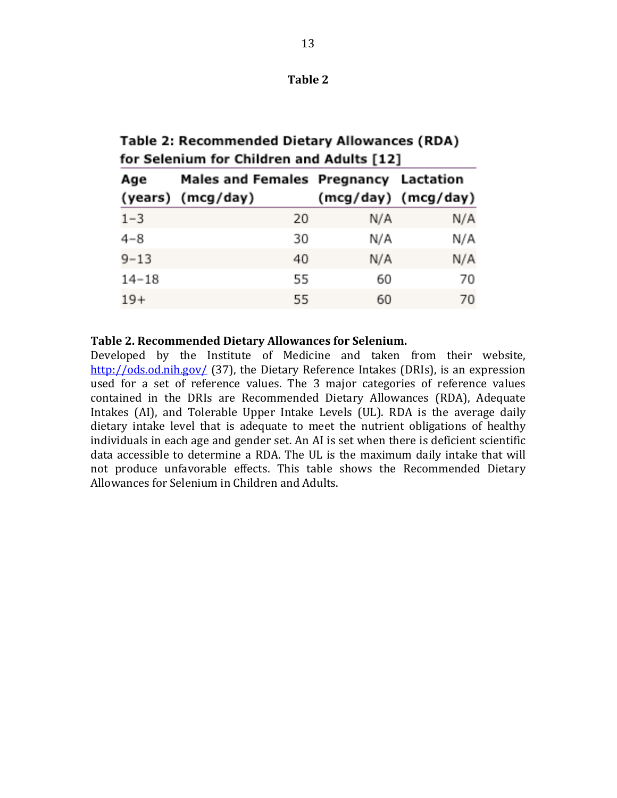| mı<br>н |  |
|---------|--|
|---------|--|

Table 2: Recommended Dietary Allowances (RDA) for Selenium for Children and Adults [12]

| Age       | Males and Females Pregnancy Lactation |     |                     |  |
|-----------|---------------------------------------|-----|---------------------|--|
|           | (years) (mcg/day)                     |     | (mcg/day) (mcg/day) |  |
| $1 - 3$   | 20                                    | N/A | N/A                 |  |
| $4 - 8$   | 30                                    | N/A | N/A                 |  |
| $9 - 13$  | 40                                    | N/A | N/A                 |  |
| $14 - 18$ | 55                                    | 60  | 70                  |  |
| $19+$     | 55                                    | 60  | 70                  |  |

### Table 2. Recommended Dietary Allowances for Selenium.

Developed by the Institute of Medicine and taken from their website,  $\frac{http://ods.od.nih.gov/}{37}$ , the Dietary Reference Intakes (DRIs), is an expression used for a set of reference values. The 3 major categories of reference values contained in the DRIs are Recommended Dietary Allowances (RDA), Adequate Intakes (AI), and Tolerable Upper Intake Levels (UL). RDA is the average daily dietary intake level that is adequate to meet the nutrient obligations of healthy individuals in each age and gender set. An AI is set when there is deficient scientific data accessible to determine a RDA. The UL is the maximum daily intake that will not produce unfavorable effects. This table shows the Recommended Dietary Allowances for Selenium in Children and Adults.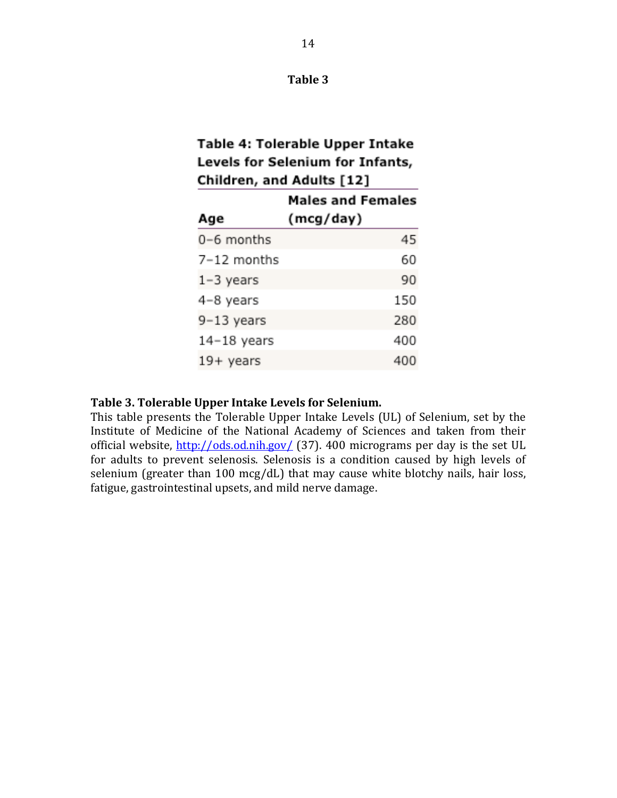## Table 3

# Table 4: Tolerable Upper Intake Levels for Selenium for Infants, Children, and Adults [12]

|               | <b>Males and Females</b> |
|---------------|--------------------------|
| Age           | (mcg/day)                |
| 0-6 months    | 45                       |
| 7-12 months   | 60                       |
| $1-3$ years   | 90                       |
| 4-8 years     | 150                      |
| 9-13 years    | 280                      |
| $14-18$ years | 400                      |
| 19+ years     | 400                      |

## Table 3. Tolerable Upper Intake Levels for Selenium.

This table presents the Tolerable Upper Intake Levels (UL) of Selenium, set by the Institute of Medicine of the National Academy of Sciences and taken from their official website,  $\frac{http://ods.od.nih.gov/}{137}$ . 400 micrograms per day is the set UL for adults to prevent selenosis. Selenosis is a condition caused by high levels of selenium (greater than  $100 \text{ mcg/dL}$ ) that may cause white blotchy nails, hair loss, fatigue, gastrointestinal upsets, and mild nerve damage.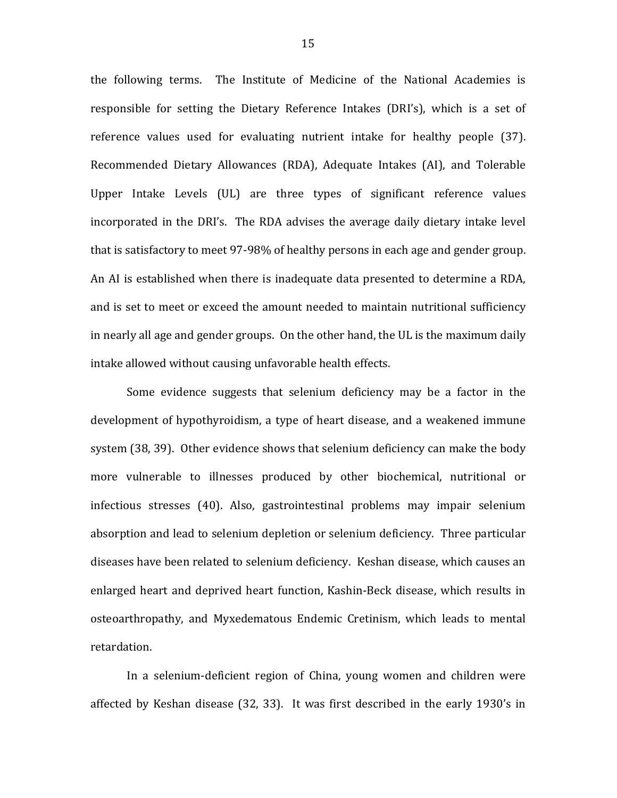the following terms. The Institute of Medicine of the National Academies is responsible for setting the Dietary Reference Intakes (DRI's), which is a set of reference values used for evaluating nutrient intake for healthy people (37). Recommended Dietary Allowances (RDA), Adequate Intakes (AI), and Tolerable Upper Intake Levels (UL) are three types of significant reference values incorporated in the DRI's. The RDA advises the average daily dietary intake level that is satisfactory to meet 97-98% of healthy persons in each age and gender group. An AI is established when there is inadequate data presented to determine a RDA, and is set to meet or exceed the amount needed to maintain nutritional sufficiency in nearly all age and gender groups. On the other hand, the UL is the maximum daily intake allowed without causing unfavorable health effects.

Some evidence suggests that selenium deficiency may be a factor in the development of hypothyroidism, a type of heart disease, and a weakened immune system (38, 39). Other evidence shows that selenium deficiency can make the body more vulnerable to illnesses produced by other biochemical, nutritional or infectious stresses (40). Also, gastrointestinal problems may impair selenium absorption and lead to selenium depletion or selenium deficiency. Three particular diseases have been related to selenium deficiency. Keshan disease, which causes an enlarged heart and deprived heart function, Kashin-Beck disease, which results in osteoarthropathy, and Myxedematous Endemic Cretinism, which leads to mental retardation.

In a selenium-deficient region of China, young women and children were affected by Keshan disease (32, 33). It was first described in the early 1930's in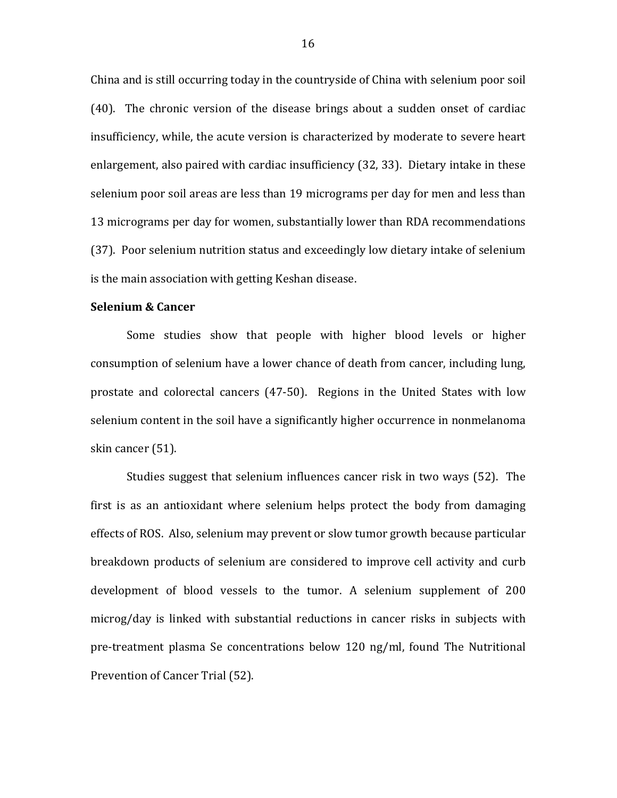China and is still occurring today in the countryside of China with selenium poor soil  $(40)$ . The chronic version of the disease brings about a sudden onset of cardiac insufficiency, while, the acute version is characterized by moderate to severe heart enlargement, also paired with cardiac insufficiency (32, 33). Dietary intake in these selenium poor soil areas are less than 19 micrograms per day for men and less than 13 micrograms per day for women, substantially lower than RDA recommendations (37). Poor selenium nutrition status and exceedingly low dietary intake of selenium is the main association with getting Keshan disease.

### **Selenium & Cancer**

Some studies show that people with higher blood levels or higher consumption of selenium have a lower chance of death from cancer, including lung, prostate and colorectal cancers (47-50). Regions in the United States with low selenium content in the soil have a significantly higher occurrence in nonmelanoma skin cancer (51).

Studies suggest that selenium influences cancer risk in two ways (52). The first is as an antioxidant where selenium helps protect the body from damaging effects of ROS. Also, selenium may prevent or slow tumor growth because particular breakdown products of selenium are considered to improve cell activity and curb development of blood vessels to the tumor. A selenium supplement of 200 microg/day is linked with substantial reductions in cancer risks in subjects with pre-treatment plasma Se concentrations below 120 ng/ml, found The Nutritional Prevention of Cancer Trial (52).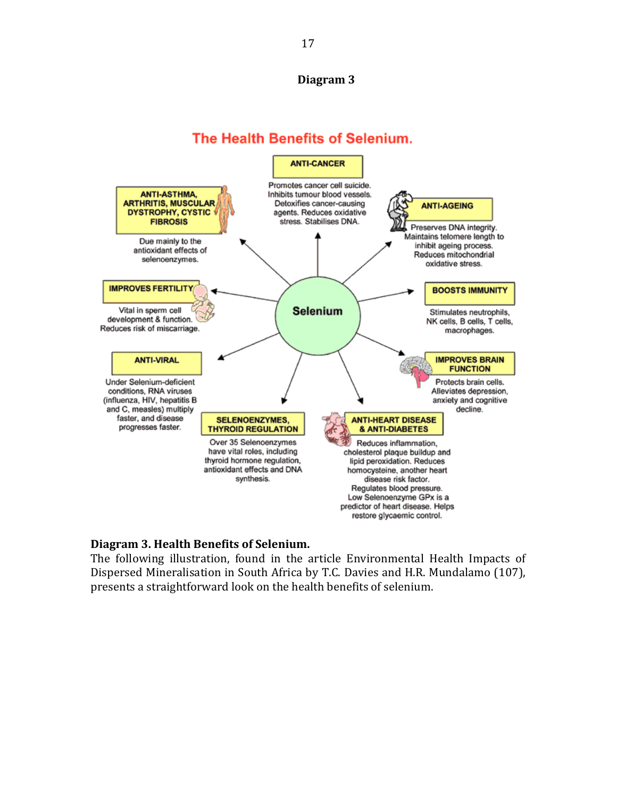## **Diagram**<sub>3</sub>

# The Health Benefits of Selenium.



## **Diagram 3. Health Benefits of Selenium.**

The following illustration, found in the article Environmental Health Impacts of Dispersed Mineralisation in South Africa by T.C. Davies and H.R. Mundalamo (107), presents a straightforward look on the health benefits of selenium.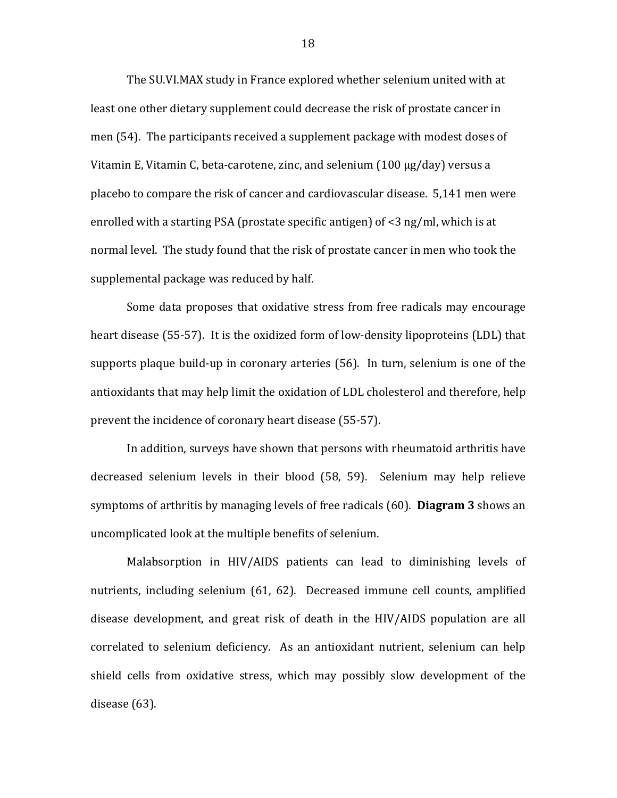The SU.VI.MAX study in France explored whether selenium united with at least one other dietary supplement could decrease the risk of prostate cancer in men (54). The participants received a supplement package with modest doses of Vitamin E, Vitamin C, beta-carotene, zinc, and selenium (100  $\mu$ g/day) versus a placebo to compare the risk of cancer and cardiovascular disease. 5,141 men were enrolled with a starting PSA (prostate specific antigen) of  $\leq$ 3 ng/ml, which is at normal level. The study found that the risk of prostate cancer in men who took the supplemental package was reduced by half.

Some data proposes that oxidative stress from free radicals may encourage heart disease (55-57). It is the oxidized form of low-density lipoproteins (LDL) that supports plaque build-up in coronary arteries (56). In turn, selenium is one of the antioxidants that may help limit the oxidation of LDL cholesterol and therefore, help prevent the incidence of coronary heart disease (55-57).

In addition, surveys have shown that persons with rheumatoid arthritis have decreased selenium levels in their blood (58, 59). Selenium may help relieve symptoms of arthritis by managing levels of free radicals (60). **Diagram 3** shows an uncomplicated look at the multiple benefits of selenium.

Malabsorption in HIV/AIDS patients can lead to diminishing levels of nutrients, including selenium (61, 62). Decreased immune cell counts, amplified disease development, and great risk of death in the HIV/AIDS population are all correlated to selenium deficiency. As an antioxidant nutrient, selenium can help shield cells from oxidative stress, which may possibly slow development of the disease  $(63)$ .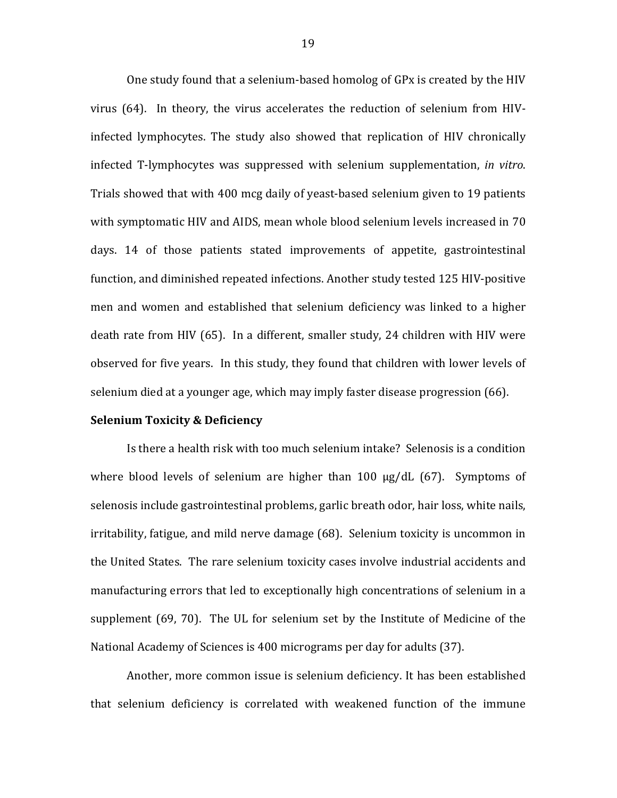One study found that a selenium-based homolog of GPx is created by the HIV virus (64). In theory, the virus accelerates the reduction of selenium from HIVinfected lymphocytes. The study also showed that replication of HIV chronically infected T-lymphocytes was suppressed with selenium supplementation, *in vitro*. Trials showed that with 400 mcg daily of yeast-based selenium given to 19 patients with symptomatic HIV and AIDS, mean whole blood selenium levels increased in 70 days. 14 of those patients stated improvements of appetite, gastrointestinal function, and diminished repeated infections. Another study tested 125 HIV-positive men and women and established that selenium deficiency was linked to a higher death rate from HIV (65). In a different, smaller study, 24 children with HIV were observed for five years. In this study, they found that children with lower levels of selenium died at a younger age, which may imply faster disease progression (66).

#### **Selenium Toxicity & Deficiency**

Is there a health risk with too much selenium intake? Selenosis is a condition where blood levels of selenium are higher than  $100 \mu g/dL$  (67). Symptoms of selenosis include gastrointestinal problems, garlic breath odor, hair loss, white nails, irritability, fatigue, and mild nerve damage (68). Selenium toxicity is uncommon in the United States. The rare selenium toxicity cases involve industrial accidents and manufacturing errors that led to exceptionally high concentrations of selenium in a supplement (69, 70). The UL for selenium set by the Institute of Medicine of the National Academy of Sciences is 400 micrograms per day for adults (37).

Another, more common issue is selenium deficiency. It has been established that selenium deficiency is correlated with weakened function of the immune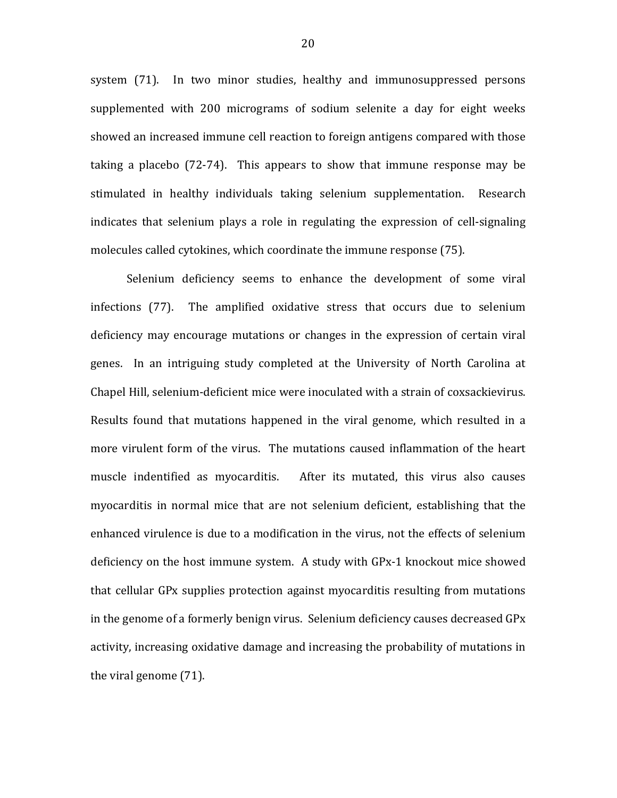system (71). In two minor studies, healthy and immunosuppressed persons supplemented with 200 micrograms of sodium selenite a day for eight weeks showed an increased immune cell reaction to foreign antigens compared with those taking a placebo  $(72-74)$ . This appears to show that immune response may be stimulated in healthy individuals taking selenium supplementation. Research indicates that selenium plays a role in regulating the expression of cell-signaling molecules called cytokines, which coordinate the immune response (75).

Selenium deficiency seems to enhance the development of some viral infections (77). The amplified oxidative stress that occurs due to selenium deficiency may encourage mutations or changes in the expression of certain viral genes. In an intriguing study completed at the University of North Carolina at Chapel Hill, selenium-deficient mice were inoculated with a strain of coxsackievirus. Results found that mutations happened in the viral genome, which resulted in a more virulent form of the virus. The mutations caused inflammation of the heart muscle! indentified! as! myocarditis.! ! ! After! its! mutated,! this! virus! also! causes! myocarditis in normal mice that are not selenium deficient, establishing that the enhanced virulence is due to a modification in the virus, not the effects of selenium deficiency on the host immune system. A study with GPx-1 knockout mice showed that cellular GPx supplies protection against myocarditis resulting from mutations in the genome of a formerly benign virus. Selenium deficiency causes decreased GPx activity, increasing oxidative damage and increasing the probability of mutations in the viral genome  $(71)$ .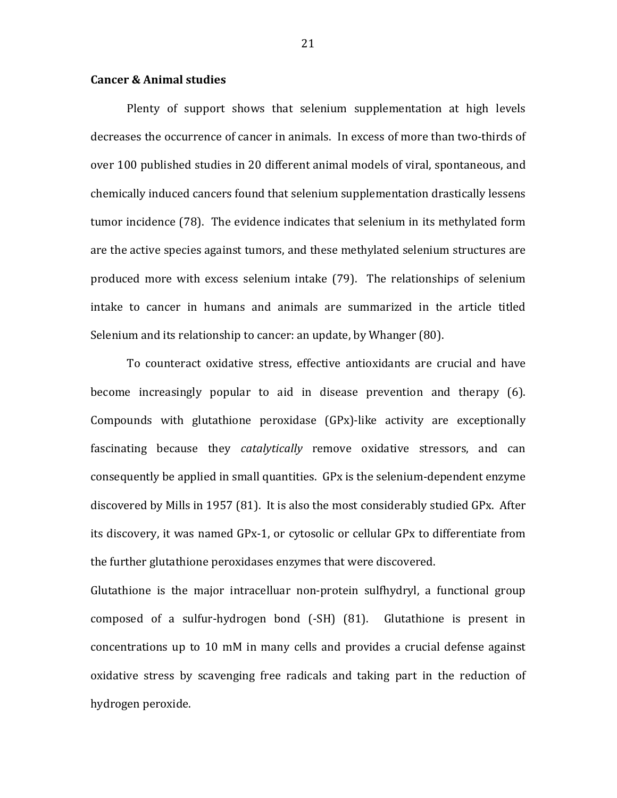#### **Cancer & Animal studies**

Plenty of support shows that selenium supplementation at high levels decreases the occurrence of cancer in animals. In excess of more than two-thirds of over 100 published studies in 20 different animal models of viral, spontaneous, and chemically induced cancers found that selenium supplementation drastically lessens tumor incidence (78). The evidence indicates that selenium in its methylated form are the active species against tumors, and these methylated selenium structures are produced more with excess selenium intake (79). The relationships of selenium intake to cancer in humans and animals are summarized in the article titled Selenium and its relationship to cancer: an update, by Whanger (80).

To counteract oxidative stress, effective antioxidants are crucial and have become increasingly popular to aid in disease prevention and therapy (6). Compounds with glutathione peroxidase  $(GPx)$ -like activity are exceptionally fascinating because they *catalytically* remove oxidative stressors, and can consequently be applied in small quantities. GPx is the selenium-dependent enzyme discovered by Mills in 1957 (81). It is also the most considerably studied GPx. After its discovery, it was named GPx-1, or cytosolic or cellular GPx to differentiate from the further glutathione peroxidases enzymes that were discovered.

Glutathione is the major intracelluar non-protein sulfhydryl, a functional group composed of a sulfur-hydrogen bond  $(-SH)$   $(81)$ . Glutathione is present in concentrations up to 10 mM in many cells and provides a crucial defense against oxidative stress by scavenging free radicals and taking part in the reduction of hydrogen peroxide.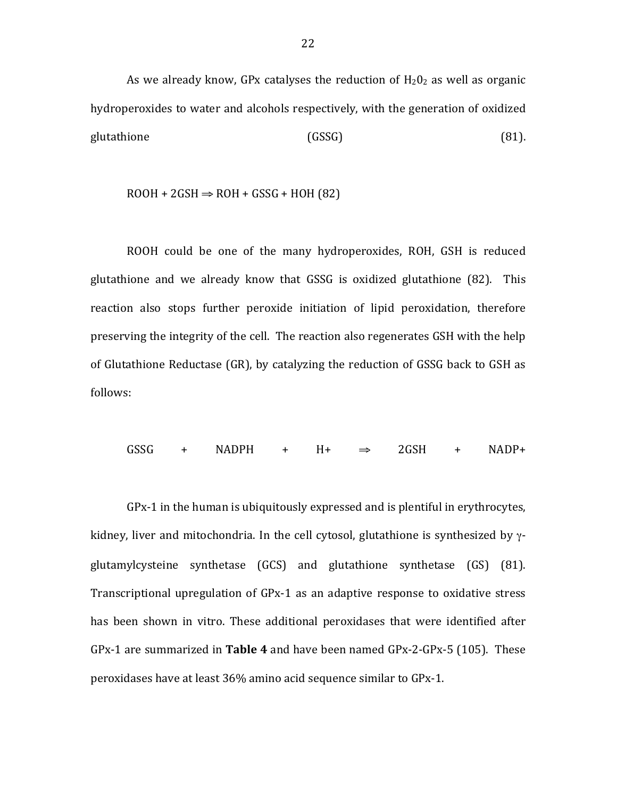As we already know, GPx catalyses the reduction of  $H_2O_2$  as well as organic hydroperoxides to water and alcohols respectively, with the generation of oxidized glutathione (GSSG) (81).

$$
ROOH + 2GSH \Rightarrow ROH + GSSG + HOH (82)
$$

ROOH could be one of the many hydroperoxides, ROH, GSH is reduced glutathione and we already know that GSSG is oxidized glutathione (82). This reaction also stops further peroxide initiation of lipid peroxidation, therefore preserving the integrity of the cell. The reaction also regenerates GSH with the help of Glutathione Reductase (GR), by catalyzing the reduction of GSSG back to GSH as follows:

 $GSSG + NADPH + H+ \Rightarrow 2GSH + NADP+$ 

GPx-1 in the human is ubiquitously expressed and is plentiful in erythrocytes, kidney, liver and mitochondria. In the cell cytosol, glutathione is synthesized by  $\gamma$ glutamylcysteine synthetase (GCS) and glutathione synthetase (GS) (81). Transcriptional upregulation of GPx-1 as an adaptive response to oxidative stress has been shown in vitro. These additional peroxidases that were identified after GPx-1 are summarized in **Table 4** and have been named GPx-2-GPx-5 (105). These peroxidases have at least 36% amino acid sequence similar to GPx-1.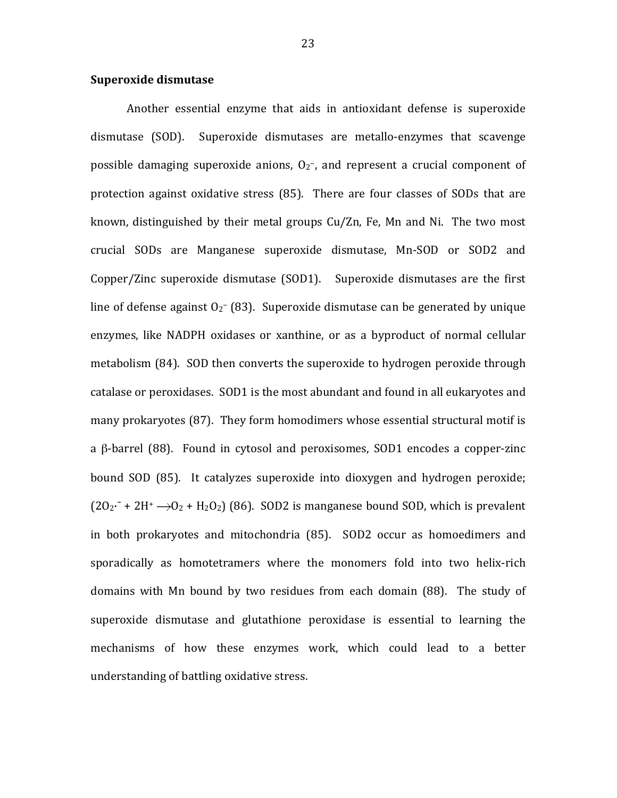#### **Superoxide dismutase**

Another essential enzyme that aids in antioxidant defense is superoxide dismutase (SOD). Superoxide dismutases are metallo-enzymes that scavenge possible damaging superoxide anions,  $O_2$ <sup>-</sup>, and represent a crucial component of protection against oxidative stress (85). There are four classes of SODs that are known, distinguished by their metal groups Cu/Zn, Fe, Mn and Ni. The two most crucial SODs are Manganese superoxide dismutase, Mn-SOD or SOD2 and Copper/Zinc superoxide dismutase  $(SOD1)$ . Superoxide dismutases are the first line of defense against  $O_2^-$  (83). Superoxide dismutase can be generated by unique enzymes, like NADPH oxidases or xanthine, or as a byproduct of normal cellular metabolism (84). SOD then converts the superoxide to hydrogen peroxide through catalase or peroxidases. SOD1 is the most abundant and found in all eukaryotes and many prokaryotes (87). They form homodimers whose essential structural motif is a  $\beta$ -barrel (88). Found in cytosol and peroxisomes, SOD1 encodes a copper-zinc bound SOD (85). It catalyzes superoxide into dioxygen and hydrogen peroxide;  $(2O_2\cdot + 2H^+ \rightarrow O_2 + H_2O_2)$  (86). SOD2 is manganese bound SOD, which is prevalent in both prokaryotes and mitochondria (85). SOD2 occur as homoedimers and sporadically as homotetramers where the monomers fold into two helix-rich domains with Mn bound by two residues from each domain (88). The study of superoxide dismutase and glutathione peroxidase is essential to learning the mechanisms of how these enzymes work, which could lead to a better understanding of battling oxidative stress.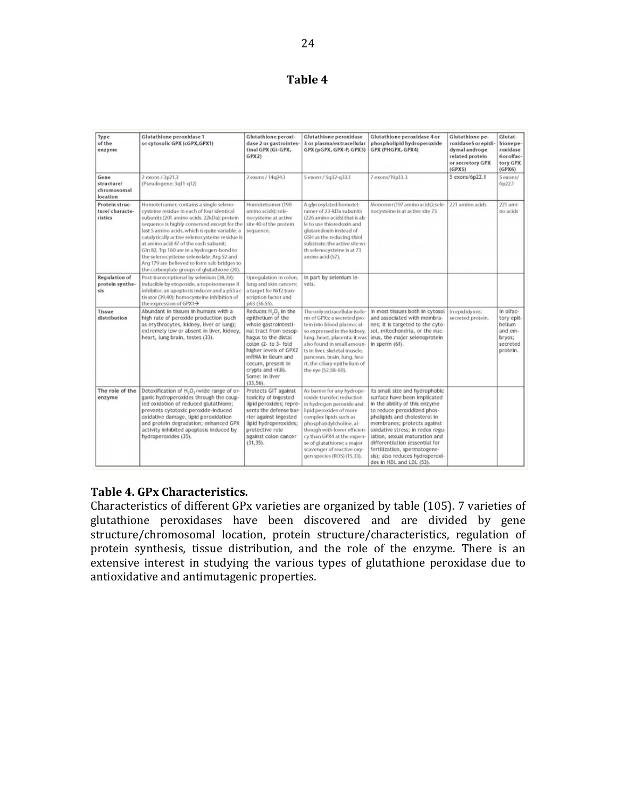## **Table 4**

| Type<br>of the<br>enzyme                      | Glutathione peroxidase 1<br>or cytosolic GPX (cGPX, GPX1)                                                                                                                                                                                                                                                                                                                                                                                                                                                                | Glutathione peroxi-<br>dase 2 or gastrointes<br>tinal GPX (GI-GPX,<br>GPX2)                                                                                                                                                                                                                 | Glutathione peroxidase<br>3 or plasma/extracellular<br>GPX (pGPX, GPX-P, GPX3)                                                                                                                                                                                                                                                | Glutathione peroxidase 4 or<br>phospholipid hydroperoxide<br>GPX (PHGPX, GPX4)                                                                                                                                                                                                                                                                                                                      | Glutathione pe-<br>roxidase5 or epidi-<br>dymal androge<br>related protein<br>or secretory GPX<br>(GPX5) | Glutat-<br>hionepe-<br>roxidase<br>6orolfac-<br>tory GPX<br>(GPX6)             |
|-----------------------------------------------|--------------------------------------------------------------------------------------------------------------------------------------------------------------------------------------------------------------------------------------------------------------------------------------------------------------------------------------------------------------------------------------------------------------------------------------------------------------------------------------------------------------------------|---------------------------------------------------------------------------------------------------------------------------------------------------------------------------------------------------------------------------------------------------------------------------------------------|-------------------------------------------------------------------------------------------------------------------------------------------------------------------------------------------------------------------------------------------------------------------------------------------------------------------------------|-----------------------------------------------------------------------------------------------------------------------------------------------------------------------------------------------------------------------------------------------------------------------------------------------------------------------------------------------------------------------------------------------------|----------------------------------------------------------------------------------------------------------|--------------------------------------------------------------------------------|
| Gene<br>structure/<br>chromosomal<br>location | 2 exons / 3p21.3<br>(Pseudogene: 3g11-g12)                                                                                                                                                                                                                                                                                                                                                                                                                                                                               | 2 exons / 14q24.1                                                                                                                                                                                                                                                                           | 5 exons / 5q32-q33.1                                                                                                                                                                                                                                                                                                          | 7 exons/19p13.3                                                                                                                                                                                                                                                                                                                                                                                     | 5 exons/6p22.1                                                                                           | 5 exons/<br>6p22.1                                                             |
| Protein struc-<br>ture/characte-<br>ristics   | Homotetramer; contains a single seleno-<br>cysteine residue in each of four identical<br>subunits (201 amino acids, 22kDa); protein<br>sequence is highly conserved except for the<br>last 5 amino acids, which is quite variable; a<br>catalytically active selenocysteine residue is<br>at amino acid 47 of the each subunit:<br>Gln 82, Trp 160 are in a hydrogen-bond to<br>the selenocysteine selenolate; Arg 52 and<br>Arg 179 are believed to form salt-bridges to<br>the carboxylate groups of glutathione (20). | Homotetramer (190<br>amino acids); sele-<br>nocysteine at active<br>site 40 of the protein<br>sequence.                                                                                                                                                                                     | A glycosylated homotet-<br>ramer of 23-kDa subunits<br>(226 amino acids) that is ab-<br>le to use thioredoxin and<br>glutaredoxin instead of<br>GSH as the reducing thiol<br>substrate; the active site wi-<br>th selenocysteine is at 73<br>amino acid (57).                                                                 | Monomer (197 amino acids); sele-<br>nocysteine is at active site 73                                                                                                                                                                                                                                                                                                                                 | 221 amino acids                                                                                          | 221 ami-<br>no acids                                                           |
| Regulation of<br>protein synthe-<br>sis       | Post-transcriptional by selenium (38,39):<br>inducible by etoposide, a topoisomerase II<br>inhibitor, an apoptosis inducer and a p53 ac-<br>tivator (39,40); homocysteine inhibition of<br>the expression of GPX1->                                                                                                                                                                                                                                                                                                      | Upregulation in colon,<br>lung and skin cancers:<br>a target for Nrf2 tran-<br>scription factor and<br>p63 (36.55).                                                                                                                                                                         | In part by selenium le-<br>vels.                                                                                                                                                                                                                                                                                              |                                                                                                                                                                                                                                                                                                                                                                                                     |                                                                                                          |                                                                                |
| Tissue<br>distribution                        | Abundant in tissues in humans with a<br>high rate of peroxide production isuch<br>as erythrocytes, kidney, liver or lung);<br>extremely low or absent in liver, kidney,<br>heart, lung brain, testes (33).                                                                                                                                                                                                                                                                                                               | Reduces H <sub>1</sub> O <sub>2</sub> in the<br>epithelium of the<br>whole gastrointesti-<br>nal tract from oesop-<br>hagus to the distal<br>colon (2- to 3- fold<br>higher levels of GPX2<br>mRNA in ileum and<br>cecum, present in<br>crypts and villi).<br>Some: in liver<br>$(33.56)$ . | The only extracellular isofo-<br>rm of GPXs: a secreted pro-<br>tein into blood plasma; al-<br>so expressed in the kidney.<br>lung, heart, placenta; it was<br>also found in small amoun-<br>ts in liver, skeletal muscle,<br>pancreas, brain, lung, hea-<br>rt, the ciliary epithelium of<br>the eye (52,58-60).             | In most tissues both in cytosol<br>and associated with membra-<br>nes; it is targeted to the cyto-<br>sol, mitochondria, or the nuc-<br>leus, the major selenoprotein<br>in sperm (61).                                                                                                                                                                                                             | In epididymis:<br>secreted protein.                                                                      | In olfac-<br>tory epit-<br>helium<br>and em-<br>bryos:<br>secreted<br>protein. |
| The role of the<br>enzyme                     | Detoxification of H <sub>2</sub> O <sub>2</sub> /wide range of or-<br>ganic hydroperoxides through the coup-<br>led oxidation of reduced glutathione:<br>prevents cytotoxic peroxide-induced<br>oxidative damage, lipid peroxidation<br>and protein degradation; enhanced GPX<br>activity inhibited apoptosis induced by<br>hydroperoxides (35).                                                                                                                                                                         | Protects GIT against<br>toxicity of ingested<br>lipid peroxides: repre-<br>sents the defense bar-<br>rier against ingested<br>lipid hydroperoxides;<br>protective role<br>against colon cancer<br>$(31, 35)$ .                                                                              | As barrier for any hydrope-<br>roxide transfer: reduction<br>in hydrogen peroxide and<br>lipid peroxides of more<br>complex lipids such as<br>phosphatidylcholine, al-<br>though with lower efficien-<br>cy than GPX4 at the expen-<br>se of glutathione; a major<br>scavenger of reactive oxy-<br>gen species (ROS) (15,33). | Its small size and hydrophobic<br>surface have been implicated<br>in the ability of this enzyme<br>to reduce peroxidized phos-<br>pholipids and cholesterol in<br>membranes; protects against<br>oxidative stress; in redox regu-<br>lation, sexual maturation and<br>differentiation (essential for<br>fertilization, spermatogene-<br>sis); also reduces hydroperoxi-<br>des in HDL and LDL (53). |                                                                                                          |                                                                                |

## **Table(4.(GPx(Characteristics.**

Characteristics of different GPx varieties are organized by table (105). 7 varieties of glutathione peroxidases have been discovered and are divided by gene structure/chromosomal location, protein structure/characteristics, regulation of protein synthesis, tissue distribution, and the role of the enzyme. There is an extensive interest in studying the various types of glutathione peroxidase due to antioxidative and antimutagenic properties.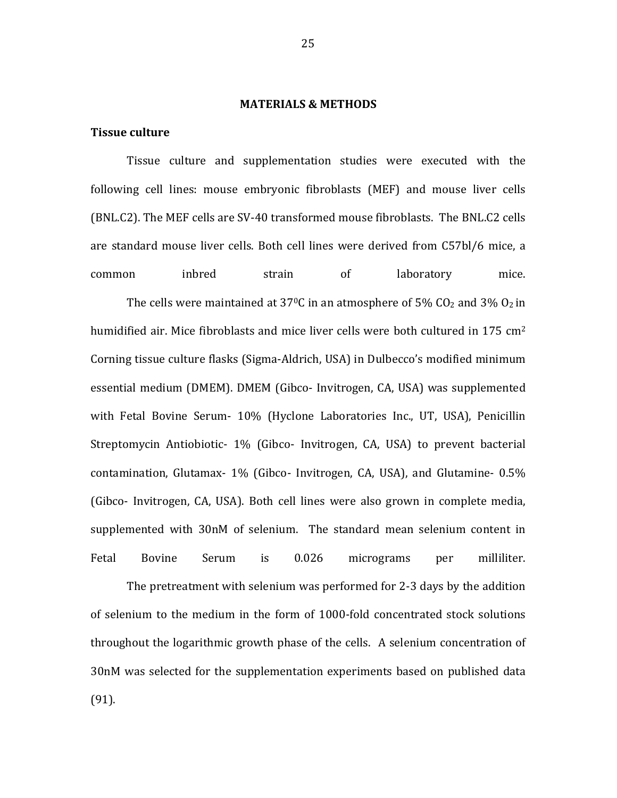#### **MATERIALS & METHODS**

#### **Tissue culture**

Tissue culture and supplementation studies were executed with the following cell lines: mouse embryonic fibroblasts (MEF) and mouse liver cells (BNL.C2). The MEF cells are SV-40 transformed mouse fibroblasts. The BNL.C2 cells are standard mouse liver cells. Both cell lines were derived from C57bl/6 mice, a common inbred strain of laboratory mice.

The cells were maintained at 37<sup>o</sup>C in an atmosphere of 5%  $CO<sub>2</sub>$  and 3%  $O<sub>2</sub>$  in humidified air. Mice fibroblasts and mice liver cells were both cultured in 175  $cm<sup>2</sup>$ Corning tissue culture flasks (Sigma-Aldrich, USA) in Dulbecco's modified minimum essential medium (DMEM). DMEM (Gibco- Invitrogen, CA, USA) was supplemented with Fetal Bovine Serum- 10% (Hyclone Laboratories Inc., UT, USA), Penicillin Streptomycin Antiobiotic- 1% (Gibco- Invitrogen, CA, USA) to prevent bacterial contamination, Glutamax-  $1\%$  (Gibco- Invitrogen, CA, USA), and Glutamine-  $0.5\%$ (Gibco- Invitrogen, CA, USA). Both cell lines were also grown in complete media, supplemented with 30nM of selenium. The standard mean selenium content in Fetal Bovine Serum is 0.026 micrograms per milliliter.

The pretreatment with selenium was performed for 2-3 days by the addition of selenium to the medium in the form of 1000-fold concentrated stock solutions throughout the logarithmic growth phase of the cells. A selenium concentration of 30nM was selected for the supplementation experiments based on published data (91).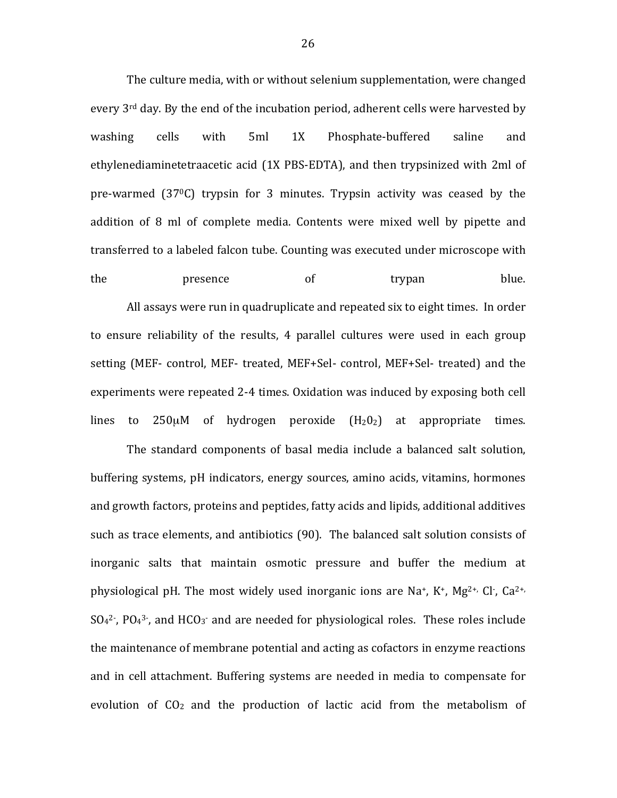The culture media, with or without selenium supplementation, were changed every  $3<sup>rd</sup>$  day. By the end of the incubation period, adherent cells were harvested by washing cells with 5ml 1X Phosphate-buffered saline and ethylenediaminetetraacetic acid (1X PBS-EDTA), and then trypsinized with 2ml of pre-warmed  $(37<sup>0</sup>C)$  trypsin for 3 minutes. Trypsin activity was ceased by the addition of 8 ml of complete media. Contents were mixed well by pipette and transferred to a labeled falcon tube. Counting was executed under microscope with the **presence** of trypan blue.

All assays were run in quadruplicate and repeated six to eight times. In order to ensure reliability of the results, 4 parallel cultures were used in each group setting (MEF- control, MEF- treated, MEF+Sel- control, MEF+Sel- treated) and the experiments were repeated 2-4 times. Oxidation was induced by exposing both cell lines to  $250\mu$ M of hydrogen peroxide  $(H_20_2)$  at appropriate times.

The standard components of basal media include a balanced salt solution, buffering systems, pH indicators, energy sources, amino acids, vitamins, hormones and growth factors, proteins and peptides, fatty acids and lipids, additional additives such as trace elements, and antibiotics (90). The balanced salt solution consists of inorganic salts that maintain osmotic pressure and buffer the medium at physiological pH. The most widely used inorganic ions are Na+, K+, Mg<sup>2+,</sup> Cl-, Ca<sup>2+,</sup>  $SO<sub>4</sub><sup>2</sup>$ , PO<sub>4</sub><sup>3</sup>, and HCO<sub>3</sub> and are needed for physiological roles. These roles include the maintenance of membrane potential and acting as cofactors in enzyme reactions and in cell attachment. Buffering systems are needed in media to compensate for evolution of  $CO<sub>2</sub>$  and the production of lactic acid from the metabolism of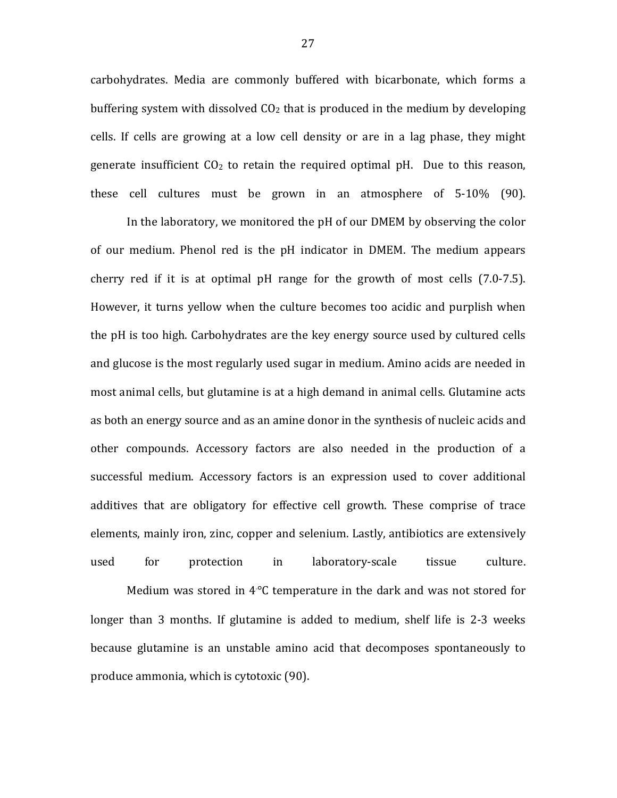carbohydrates. Media are commonly buffered with bicarbonate, which forms a buffering system with dissolved  $CO<sub>2</sub>$  that is produced in the medium by developing cells. If cells are growing at a low cell density or are in a lag phase, they might generate insufficient  $CO<sub>2</sub>$  to retain the required optimal pH. Due to this reason, these cell cultures must be grown in an atmosphere of  $5-10\%$  (90).

In the laboratory, we monitored the pH of our DMEM by observing the color of our medium. Phenol red is the pH indicator in DMEM. The medium appears cherry red if it is at optimal  $p$ H range for the growth of most cells  $(7.0-7.5)$ . However, it turns vellow when the culture becomes too acidic and purplish when the pH is too high. Carbohydrates are the key energy source used by cultured cells and glucose is the most regularly used sugar in medium. Amino acids are needed in most animal cells, but glutamine is at a high demand in animal cells. Glutamine acts as both an energy source and as an amine donor in the synthesis of nucleic acids and other compounds. Accessory factors are also needed in the production of a successful medium. Accessory factors is an expression used to cover additional additives that are obligatory for effective cell growth. These comprise of trace elements, mainly iron, zinc, copper and selenium. Lastly, antibiotics are extensively used for protection in laboratory-scale tissue culture.

Medium was stored in  $4^{\circ}$ C temperature in the dark and was not stored for longer than  $3$  months. If glutamine is added to medium, shelf life is 2-3 weeks because glutamine is an unstable amino acid that decomposes spontaneously to produce ammonia, which is cytotoxic (90).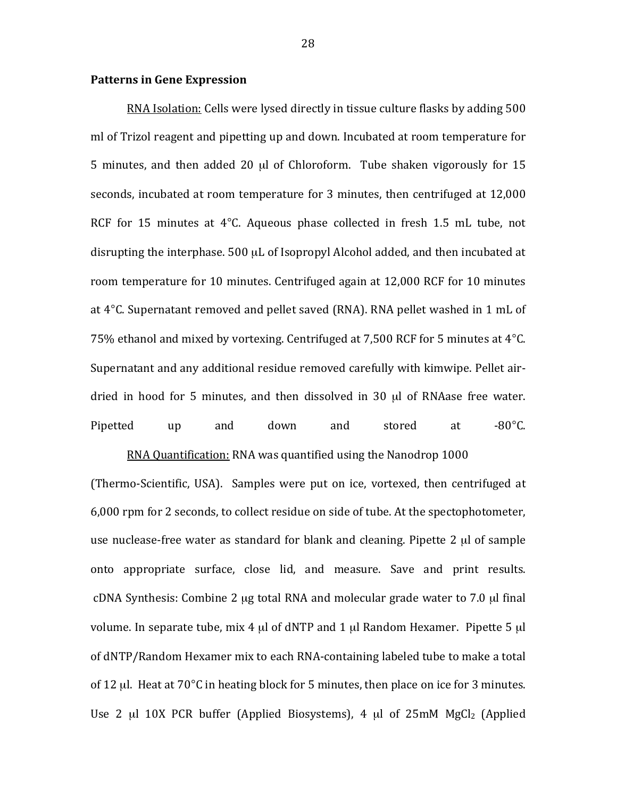#### **Patterns in Gene Expression**

RNA Isolation: Cells were lysed directly in tissue culture flasks by adding 500 ml of Trizol reagent and pipetting up and down. Incubated at room temperature for 5 minutes, and then added 20  $\mu$ l of Chloroform. Tube shaken vigorously for 15 seconds, incubated at room temperature for 3 minutes, then centrifuged at 12,000 RCF for 15 minutes at  $4^{\circ}$ C. Aqueous phase collected in fresh 1.5 mL tube, not disrupting the interphase. 500 µL of Isopropyl Alcohol added, and then incubated at room temperature for 10 minutes. Centrifuged again at 12,000 RCF for 10 minutes at 4°C. Supernatant removed and pellet saved (RNA). RNA pellet washed in 1 mL of 75% ethanol and mixed by vortexing. Centrifuged at 7,500 RCF for 5 minutes at  $4^{\circ}$ C. Supernatant and any additional residue removed carefully with kimwipe. Pellet airdried in hood for 5 minutes, and then dissolved in 30 µl of RNAase free water. Pipetted up and down and stored at -80°C.

RNA Quantification: RNA was quantified using the Nanodrop 1000

(Thermo-Scientific, USA). Samples were put on ice, vortexed, then centrifuged at 6,000 rpm for 2 seconds, to collect residue on side of tube. At the spectophotometer, use nuclease-free water as standard for blank and cleaning. Pipette 2  $\mu$ l of sample onto appropriate surface, close lid, and measure. Save and print results. cDNA Synthesis: Combine 2 µg total RNA and molecular grade water to 7.0 µl final volume. In separate tube, mix 4  $\mu$ l of dNTP and 1  $\mu$ l Random Hexamer. Pipette 5  $\mu$ l of dNTP/Random Hexamer mix to each RNA-containing labeled tube to make a total of 12 µl. Heat at  $70^{\circ}$ C in heating block for 5 minutes, then place on ice for 3 minutes. Use 2  $\mu$ l 10X PCR buffer (Applied Biosystems), 4  $\mu$ l of 25mM MgCl<sub>2</sub> (Applied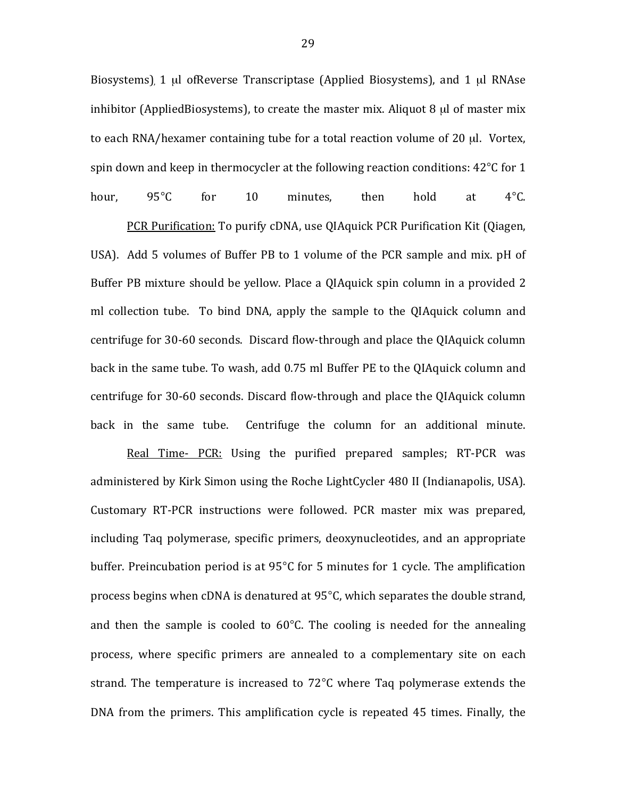Biosystems), 1 µl ofReverse Transcriptase (Applied Biosystems), and 1 µl RNAse inhibitor (AppliedBiosystems), to create the master mix. Aliquot 8  $\mu$ l of master mix to each RNA/hexamer containing tube for a total reaction volume of 20  $\mu$ l. Vortex, spin down and keep in thermocycler at the following reaction conditions:  $42^{\circ}$ C for 1 hour,  $95^{\circ}$ C for 10 minutes, then hold at 4°C.

PCR Purification: To purify cDNA, use QIAquick PCR Purification Kit (Qiagen, USA). Add 5 volumes of Buffer PB to 1 volume of the PCR sample and mix. pH of Buffer PB mixture should be yellow. Place a QIAquick spin column in a provided 2 ml collection tube. To bind DNA, apply the sample to the QIAquick column and centrifuge for 30-60 seconds. Discard flow-through and place the QIAquick column back in the same tube. To wash, add 0.75 ml Buffer PE to the QIAquick column and centrifuge for 30-60 seconds. Discard flow-through and place the QIAquick column back in the same tube. Centrifuge the column for an additional minute.

Real Time- PCR: Using the purified prepared samples; RT-PCR was administered by Kirk Simon using the Roche LightCycler 480 II (Indianapolis, USA). Customary RT-PCR instructions were followed. PCR master mix was prepared, including Taq polymerase, specific primers, deoxynucleotides, and an appropriate buffer. Preincubation period is at  $95^{\circ}$ C for 5 minutes for 1 cycle. The amplification process begins when cDNA is denatured at 95°C, which separates the double strand, and then the sample is cooled to  $60^{\circ}$ C. The cooling is needed for the annealing process, where specific primers are annealed to a complementary site on each strand. The temperature is increased to  $72^{\circ}$ C where Taq polymerase extends the DNA from the primers. This amplification cycle is repeated 45 times. Finally, the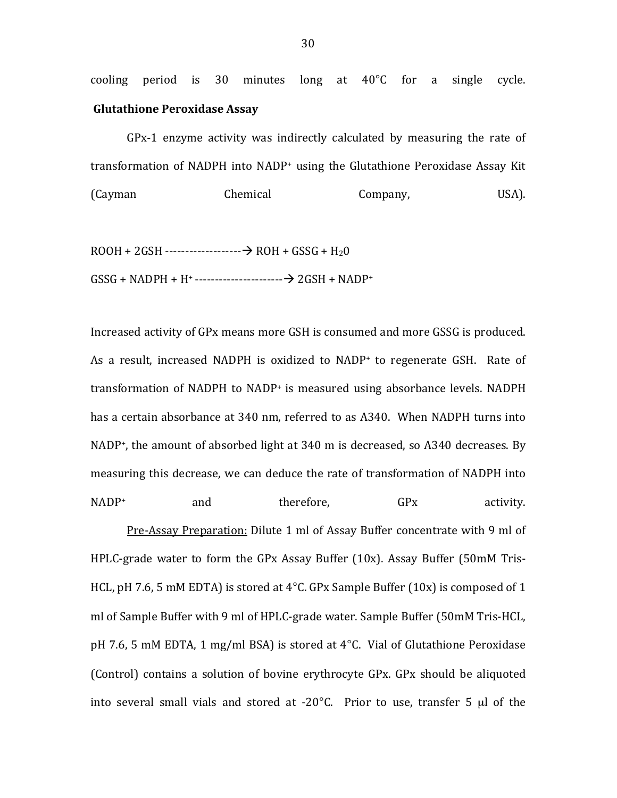cooling period is 30 minutes long at  $40^{\circ}$ C for a single cycle. **Glutathione Peroxidase Assay** 

 $GPx-1$  enzyme activity was indirectly calculated by measuring the rate of transformation of NADPH into NADP+ using the Glutathione Peroxidase Assay Kit (Cayman Chemical Company, USA).

ROOH!+!2GSH!^^^^^^^^^^^^^^^^^^^!ROH!+!GSSG!+!H20 GSSG!+!NADPH!+!H+ ^^^^^^^^^^^^^^^^^^^^^^!2GSH!+!NADP+

Increased activity of GPx means more GSH is consumed and more GSSG is produced. As a result, increased NADPH is oxidized to NADP+ to regenerate GSH. Rate of transformation of NADPH to NADP+ is measured using absorbance levels. NADPH has a certain absorbance at 340 nm, referred to as A340. When NADPH turns into NADP<sup>+</sup>, the amount of absorbed light at 340 m is decreased, so A340 decreases. By measuring this decrease, we can deduce the rate of transformation of NADPH into  $NADP<sup>+</sup>$  and therefore,  $GPX$  activity.

Pre-Assay Preparation: Dilute 1 ml of Assay Buffer concentrate with 9 ml of HPLC-grade water to form the GPx Assay Buffer  $(10x)$ . Assay Buffer  $(50mM$  Tris-HCL, pH 7.6, 5 mM EDTA) is stored at 4°C. GPx Sample Buffer (10x) is composed of 1 ml of Sample Buffer with 9 ml of HPLC-grade water. Sample Buffer (50mM Tris-HCL, pH 7.6, 5 mM EDTA, 1 mg/ml BSA) is stored at  $4^{\circ}$ C. Vial of Glutathione Peroxidase (Control) contains a solution of bovine erythrocyte GPx. GPx should be aliquoted into several small vials and stored at  $-20^{\circ}$ C. Prior to use, transfer 5  $\mu$ l of the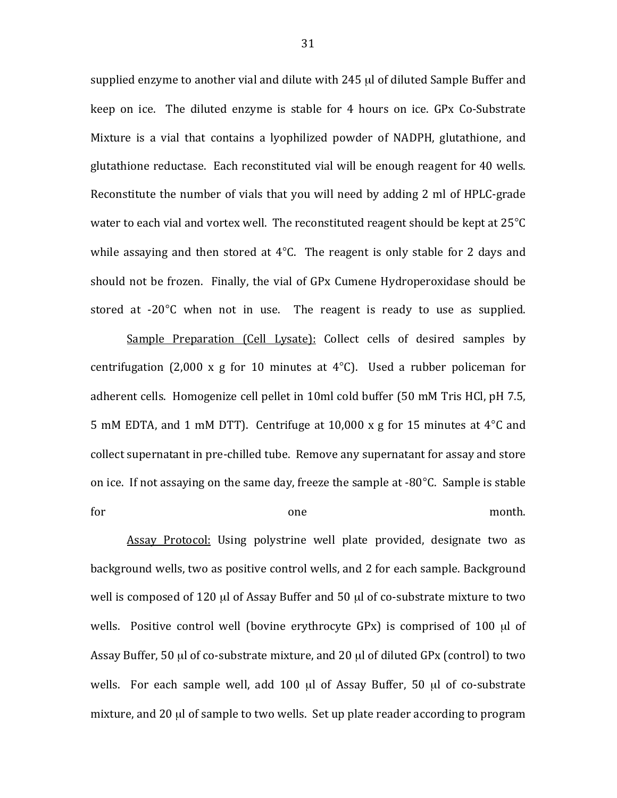supplied enzyme to another vial and dilute with  $245$  µl of diluted Sample Buffer and keep on ice. The diluted enzyme is stable for  $4$  hours on ice. GPx Co-Substrate Mixture is a vial that contains a lyophilized powder of NADPH, glutathione, and glutathione reductase. Each reconstituted vial will be enough reagent for 40 wells. Reconstitute the number of vials that you will need by adding 2 ml of HPLC-grade water to each vial and vortex well. The reconstituted reagent should be kept at  $25^{\circ}$ C while assaying and then stored at  $4^{\circ}$ C. The reagent is only stable for 2 days and should not be frozen. Finally, the vial of GPx Cumene Hydroperoxidase should be stored at  $-20^{\circ}$ C when not in use. The reagent is ready to use as supplied.

Sample Preparation (Cell Lysate): Collect cells of desired samples by centrifugation (2,000 x g for 10 minutes at  $4^{\circ}$ C). Used a rubber policeman for adherent cells. Homogenize cell pellet in 10ml cold buffer (50 mM Tris HCl, pH 7.5, 5 mM EDTA, and 1 mM DTT). Centrifuge at 10,000 x g for 15 minutes at  $4^{\circ}$ C and collect supernatant in pre-chilled tube. Remove any supernatant for assay and store on ice. If not assaying on the same day, freeze the sample at  $-80^{\circ}$ C. Sample is stable for one one month.

Assay Protocol: Using polystrine well plate provided, designate two as background wells, two as positive control wells, and 2 for each sample. Background well is composed of 120  $\mu$ l of Assay Buffer and 50  $\mu$ l of co-substrate mixture to two wells. Positive control well (bovine erythrocyte GPx) is comprised of 100 µl of Assay Buffer, 50 µl of co-substrate mixture, and 20 µl of diluted GPx (control) to two wells. For each sample well, add 100 µl of Assay Buffer, 50 µl of co-substrate mixture, and 20  $\mu$  of sample to two wells. Set up plate reader according to program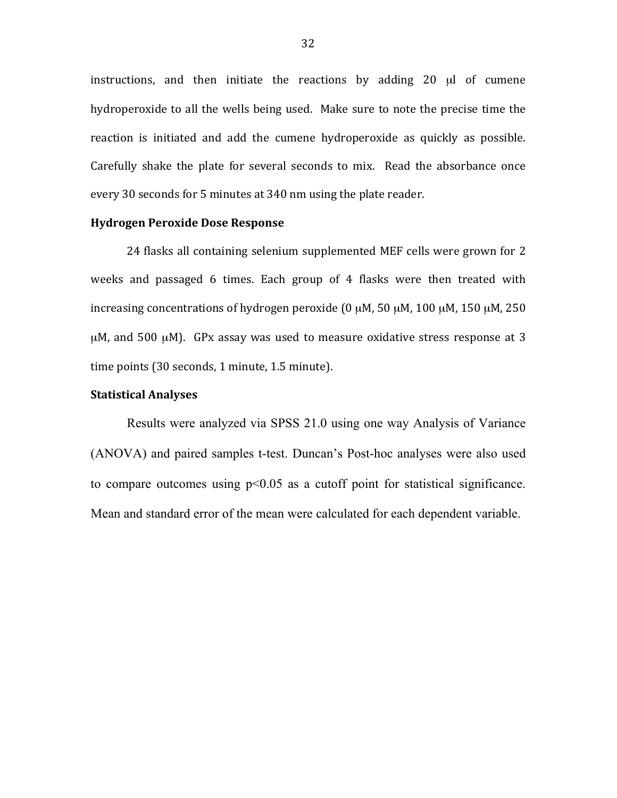instructions, and then initiate the reactions by adding  $20 \mu l$  of cumene hydroperoxide to all the wells being used. Make sure to note the precise time the reaction is initiated and add the cumene hydroperoxide as quickly as possible. Carefully shake the plate for several seconds to mix. Read the absorbance once every 30 seconds for 5 minutes at 340 nm using the plate reader.

#### **Hydrogen Peroxide Dose Response**

24 flasks all containing selenium supplemented MEF cells were grown for 2 weeks and passaged 6 times. Each group of 4 flasks were then treated with increasing concentrations of hydrogen peroxide (0  $\mu$ M, 50  $\mu$ M, 100  $\mu$ M, 150  $\mu$ M, 250  $\mu$ M, and 500  $\mu$ M). GPx assay was used to measure oxidative stress response at 3 time points  $(30$  seconds, 1 minute, 1.5 minute).

## **Statistical Analyses**

Results were analyzed via SPSS 21.0 using one way Analysis of Variance (ANOVA) and paired samples t-test. Duncan's Post-hoc analyses were also used to compare outcomes using  $p<0.05$  as a cutoff point for statistical significance. Mean and standard error of the mean were calculated for each dependent variable.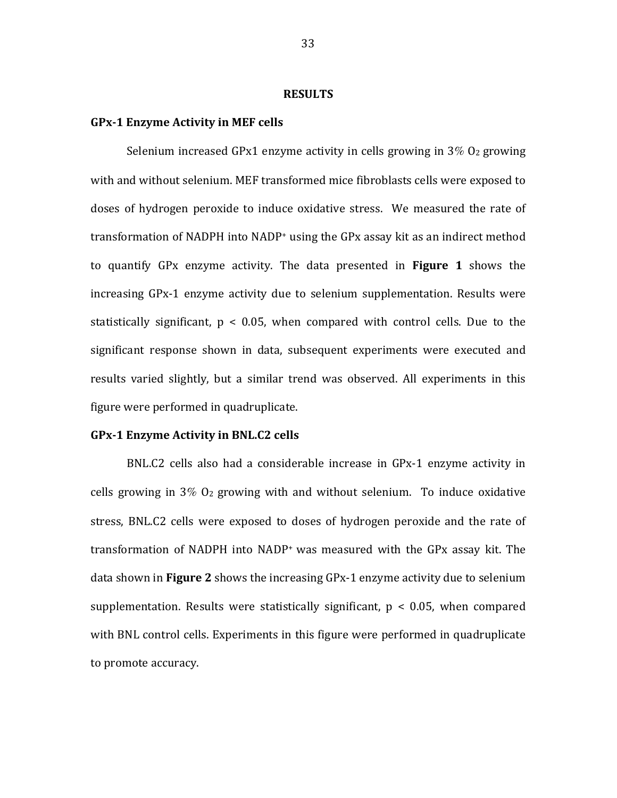#### **RESULTS**

#### **GPx-1 Enzyme Activity in MEF cells**

Selenium increased GPx1 enzyme activity in cells growing in  $3\%$  O<sub>2</sub> growing with and without selenium. MEF transformed mice fibroblasts cells were exposed to doses of hydrogen peroxide to induce oxidative stress. We measured the rate of transformation of NADPH into NADP+ using the GPx assay kit as an indirect method to quantify GPx enzyme activity. The data presented in **Figure 1** shows the increasing GPx-1 enzyme activity due to selenium supplementation. Results were statistically significant,  $p < 0.05$ , when compared with control cells. Due to the significant response shown in data, subsequent experiments were executed and results varied slightly, but a similar trend was observed. All experiments in this figure were performed in quadruplicate.

#### **GPx-1 Enzyme Activity in BNL.C2 cells**

 $BNL.C2$  cells also had a considerable increase in  $GPx-1$  enzyme activity in cells growing in  $3\%$   $O_2$  growing with and without selenium. To induce oxidative stress, BNL.C2 cells were exposed to doses of hydrogen peroxide and the rate of transformation of NADPH into NADP<sup>+</sup> was measured with the GPx assay kit. The data shown in **Figure 2** shows the increasing GPx-1 enzyme activity due to selenium supplementation. Results were statistically significant,  $p < 0.05$ , when compared with BNL control cells. Experiments in this figure were performed in quadruplicate to promote accuracy.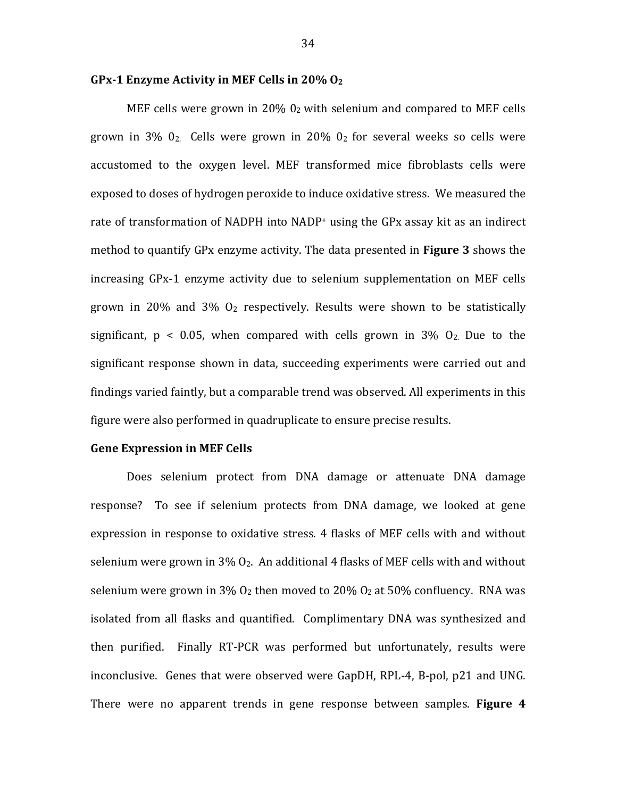#### **GPx-1 Enzyme Activity in MEF Cells in 20% O<sub>2</sub>**

MEF cells were grown in 20%  $0<sub>2</sub>$  with selenium and compared to MEF cells grown in 3%  $0_2$ . Cells were grown in 20%  $0_2$  for several weeks so cells were accustomed to the oxygen level. MEF transformed mice fibroblasts cells were exposed to doses of hydrogen peroxide to induce oxidative stress. We measured the rate of transformation of NADPH into NADP+ using the GPx assay kit as an indirect method to quantify GPx enzyme activity. The data presented in **Figure 3** shows the increasing GPx-1 enzyme activity due to selenium supplementation on MEF cells grown in 20% and 3%  $O<sub>2</sub>$  respectively. Results were shown to be statistically significant,  $p \le 0.05$ , when compared with cells grown in 3%  $O<sub>2</sub>$ . Due to the significant response shown in data, succeeding experiments were carried out and findings varied faintly, but a comparable trend was observed. All experiments in this figure were also performed in quadruplicate to ensure precise results.

#### **Gene Expression in MEF Cells**

Does selenium protect from DNA damage or attenuate DNA damage response? To see if selenium protects from DNA damage, we looked at gene expression in response to oxidative stress. 4 flasks of MEF cells with and without selenium were grown in  $3\%$  O<sub>2</sub>. An additional 4 flasks of MEF cells with and without selenium were grown in 3%  $O_2$  then moved to 20%  $O_2$  at 50% confluency. RNA was isolated from all flasks and quantified. Complimentary DNA was synthesized and then purified. Finally RT-PCR was performed but unfortunately, results were inconclusive. Genes that were observed were GapDH, RPL-4, B-pol, p21 and UNG. There were no apparent trends in gene response between samples. **Figure 4**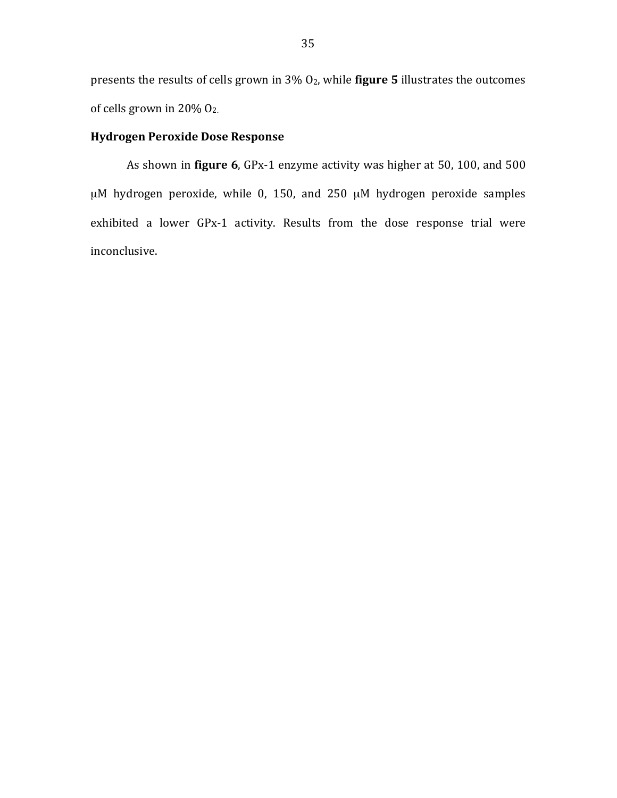presents the results of cells grown in 3% O<sub>2</sub>, while **figure 5** illustrates the outcomes of cells grown in 20% O<sub>2.</sub>

## **Hydrogen Peroxide Dose Response**

As shown in **figure 6**, GPx-1 enzyme activity was higher at 50, 100, and 500  $\mu$ M hydrogen peroxide, while 0, 150, and 250  $\mu$ M hydrogen peroxide samples exhibited a lower GPx-1 activity. Results from the dose response trial were inconclusive.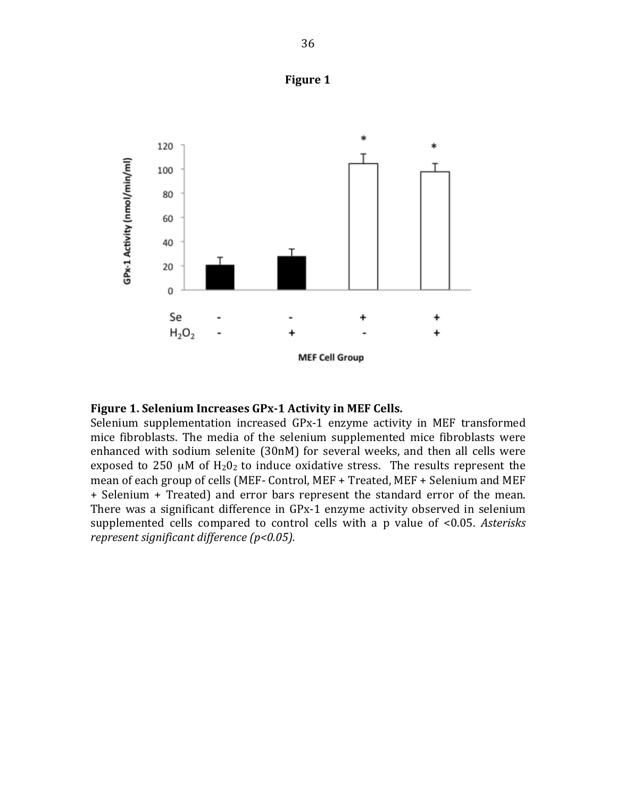



### Figure 1. Selenium Increases GPx-1 Activity in MEF Cells.

Selenium supplementation increased GPx-1 enzyme activity in MEF transformed mice fibroblasts. The media of the selenium supplemented mice fibroblasts were enhanced with sodium selenite (30nM) for several weeks, and then all cells were exposed to 250  $\mu$ M of  $H_2O_2$  to induce oxidative stress. The results represent the mean of each group of cells (MEF- Control, MEF + Treated, MEF + Selenium and MEF + Selenium + Treated) and error bars represent the standard error of the mean. There was a significant difference in GPx-1 enzyme activity observed in selenium supplemented cells compared to control cells with a p value of <0.05. Asterisks *represent significant difference (p<0.05).*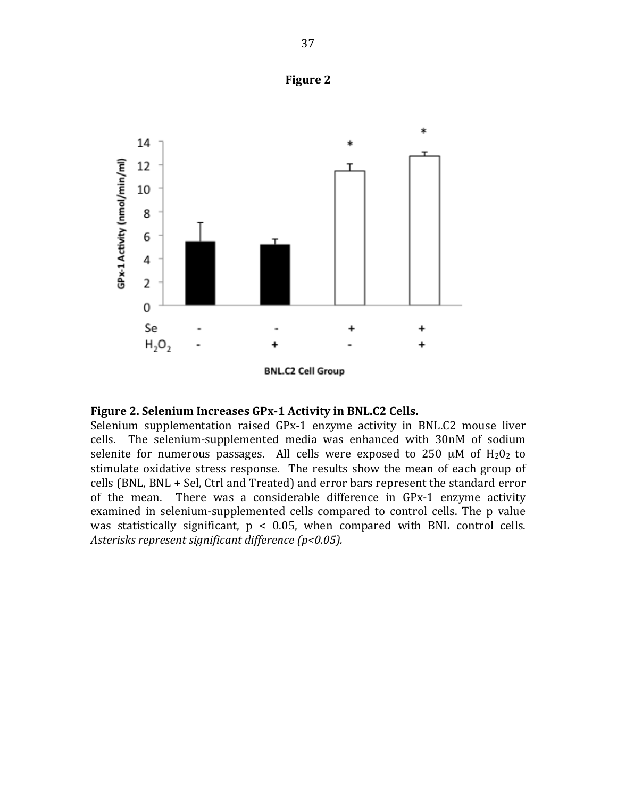





Selenium supplementation raised GPx-1 enzyme activity in BNL.C2 mouse liver cells. The selenium-supplemented media was enhanced with 30nM of sodium selenite for numerous passages. All cells were exposed to 250  $\mu$ M of H<sub>2</sub>0<sub>2</sub> to stimulate oxidative stress response. The results show the mean of each group of cells (BNL, BNL + Sel, Ctrl and Treated) and error bars represent the standard error of the mean. There was a considerable difference in GPx-1 enzyme activity examined in selenium-supplemented cells compared to control cells. The p value was statistically significant,  $p < 0.05$ , when compared with BNL control cells. Asterisks represent significant difference (p<0.05).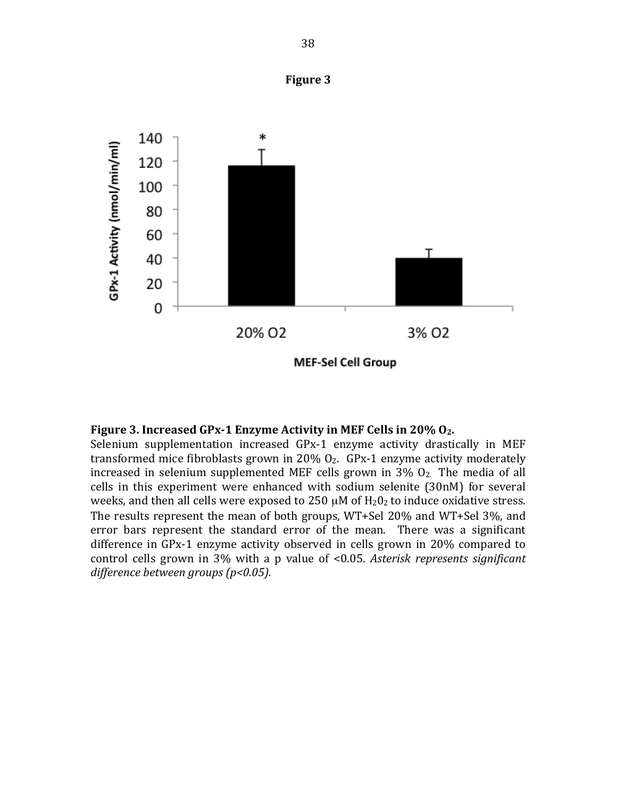

#### **Figure 3. Increased GPx-1 Enzyme Activity in MEF Cells in 20% O<sub>2</sub>.**

Selenium supplementation increased GPx-1 enzyme activity drastically in MEF transformed mice fibroblasts grown in 20%  $O<sub>2</sub>$ . GPx-1 enzyme activity moderately increased in selenium supplemented MEF cells grown in  $3\%$   $O_2$ . The media of all cells in this experiment were enhanced with sodium selenite (30nM) for several weeks, and then all cells were exposed to 250  $\mu$ M of H<sub>2</sub>0<sub>2</sub> to induce oxidative stress. The results represent the mean of both groups,  $WT+Sel$  20% and  $WT+Sel$  3%, and error bars represent the standard error of the mean. There was a significant difference in  $GPx-1$  enzyme activity observed in cells grown in  $20\%$  compared to control cells grown in 3% with a p value of <0.05. *Asterisk represents significant difference between#groups#(p<0.05).*

**Figure 3**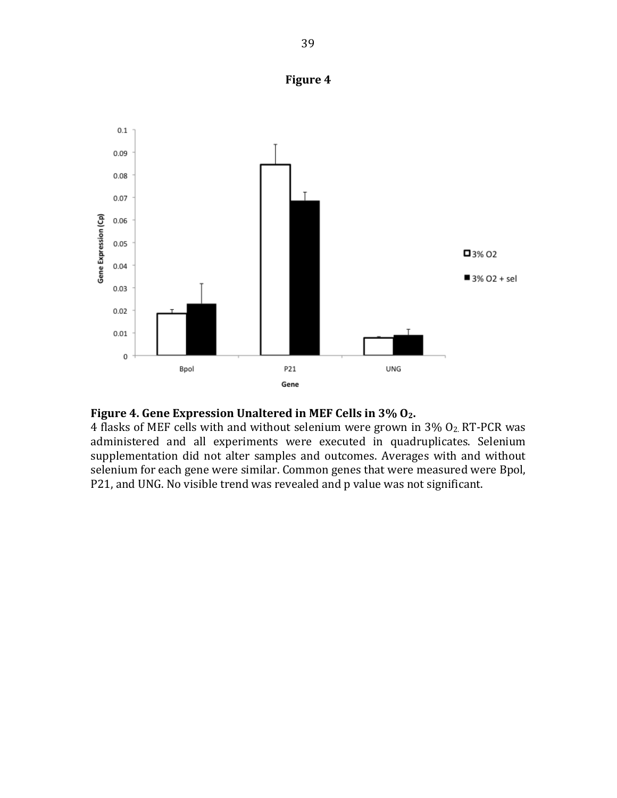





4 flasks of MEF cells with and without selenium were grown in  $3\%$  O<sub>2</sub> RT-PCR was administered and all experiments were executed in quadruplicates. Selenium supplementation did not alter samples and outcomes. Averages with and without selenium for each gene were similar. Common genes that were measured were Bpol, P21, and UNG. No visible trend was revealed and p value was not significant.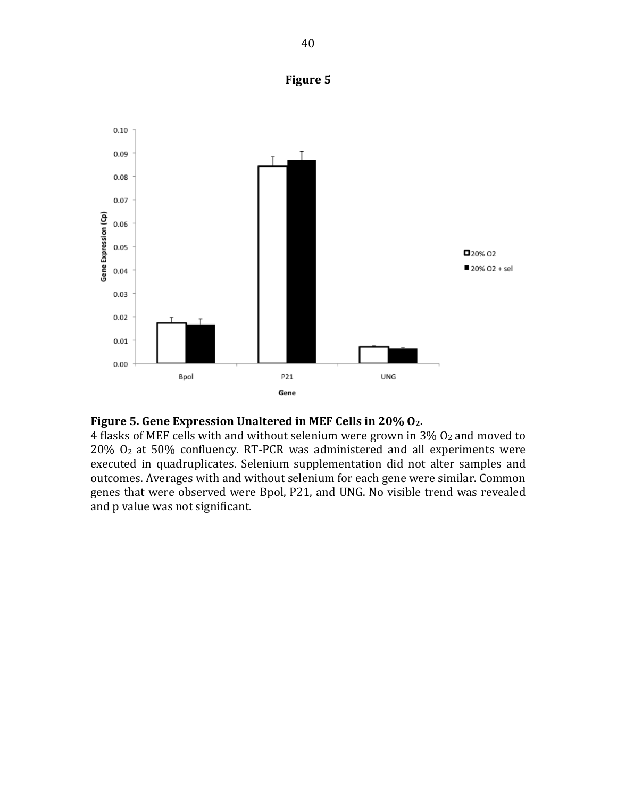



## Figure 5. Gene Expression Unaltered in MEF Cells in 20% O<sub>2</sub>.

4 flasks of MEF cells with and without selenium were grown in  $3\%$  O<sub>2</sub> and moved to  $20\%$  O<sub>2</sub> at 50% confluency. RT-PCR was administered and all experiments were executed in quadruplicates. Selenium supplementation did not alter samples and outcomes. Averages with and without selenium for each gene were similar. Common genes that were observed were Bpol, P21, and UNG. No visible trend was revealed and p value was not significant.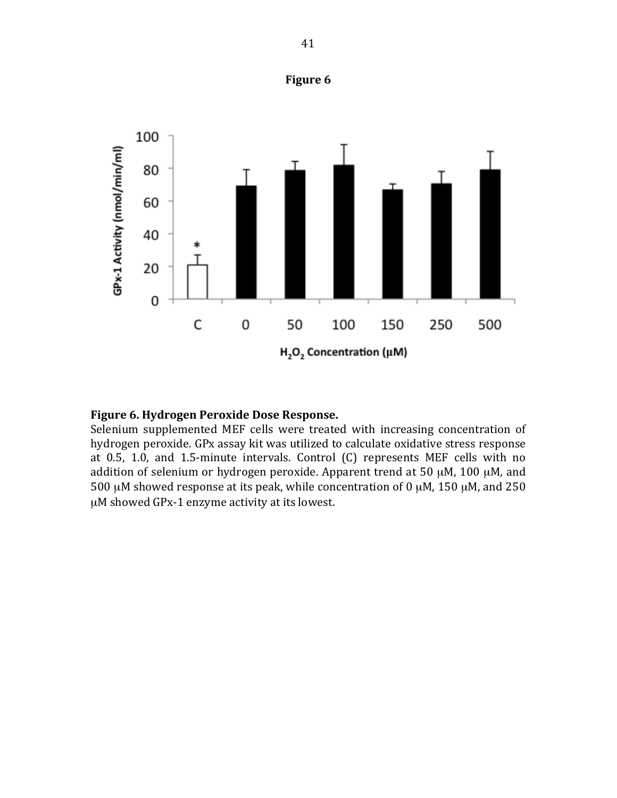

## **Figure 6**

#### Figure 6. Hydrogen Peroxide Dose Response.

Selenium supplemented MEF cells were treated with increasing concentration of hydrogen peroxide. GPx assay kit was utilized to calculate oxidative stress response at 0.5, 1.0, and 1.5-minute intervals. Control (C) represents MEF cells with no addition of selenium or hydrogen peroxide. Apparent trend at 50  $\mu$ M, 100  $\mu$ M, and 500  $\mu$ M showed response at its peak, while concentration of 0  $\mu$ M, 150  $\mu$ M, and 250 µM showed GPx-1 enzyme activity at its lowest.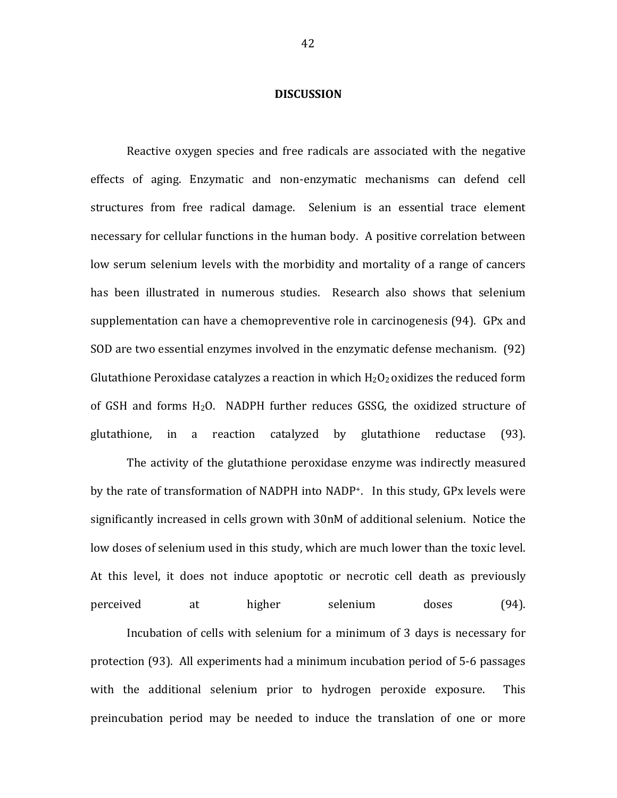#### **DISCUSSION**

Reactive oxygen species and free radicals are associated with the negative effects of aging. Enzymatic and non-enzymatic mechanisms can defend cell structures from free radical damage. Selenium is an essential trace element necessary for cellular functions in the human body. A positive correlation between low serum selenium levels with the morbidity and mortality of a range of cancers has been illustrated in numerous studies. Research also shows that selenium supplementation can have a chemopreventive role in carcinogenesis (94). GPx and SOD are two essential enzymes involved in the enzymatic defense mechanism. (92) Glutathione Peroxidase catalyzes a reaction in which  $H_2O_2$  oxidizes the reduced form of GSH and forms  $H_2O$ . NADPH further reduces GSSG, the oxidized structure of glutathione, in a reaction catalyzed by glutathione reductase (93).

The activity of the glutathione peroxidase enzyme was indirectly measured by the rate of transformation of NADPH into NADP<sup>+</sup>. In this study, GPx levels were significantly increased in cells grown with 30nM of additional selenium. Notice the low doses of selenium used in this study, which are much lower than the toxic level. At this level, it does not induce apoptotic or necrotic cell death as previously perceived at higher selenium doses (94).

Incubation of cells with selenium for a minimum of 3 days is necessary for protection (93). All experiments had a minimum incubation period of 5-6 passages with the additional selenium prior to hydrogen peroxide exposure. This preincubation period may be needed to induce the translation of one or more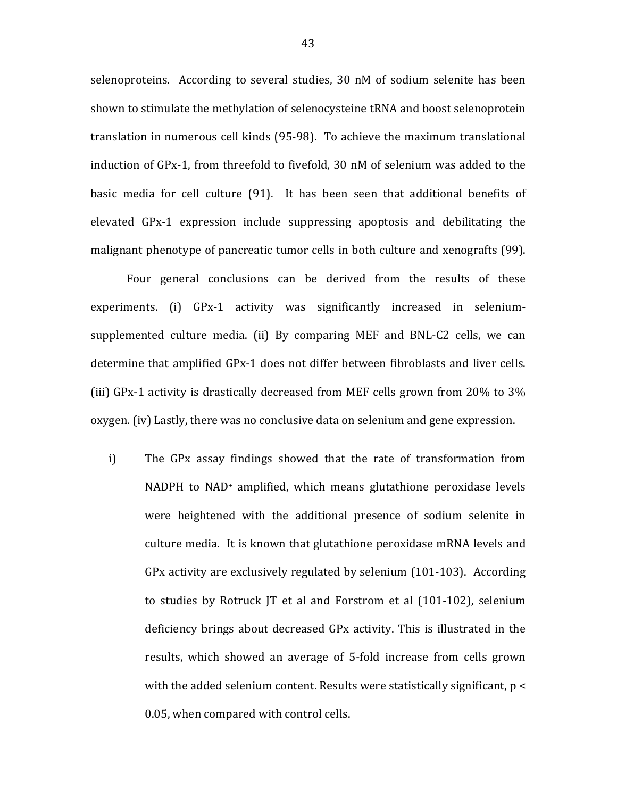selenoproteins. According to several studies, 30 nM of sodium selenite has been shown to stimulate the methylation of selenocysteine tRNA and boost selenoprotein translation in numerous cell kinds (95-98). To achieve the maximum translational induction of GPx-1, from threefold to fivefold,  $30 \text{ nM}$  of selenium was added to the basic media for cell culture (91). It has been seen that additional benefits of elevated GPx-1 expression include suppressing apoptosis and debilitating the malignant phenotype of pancreatic tumor cells in both culture and xenografts (99).

Four general conclusions can be derived from the results of these experiments. (i) GPx-1 activity was significantly increased in seleniumsupplemented culture media. (ii) By comparing MEF and BNL-C2 cells, we can determine that amplified GPx-1 does not differ between fibroblasts and liver cells. (iii)  $GPx-1$  activity is drastically decreased from MEF cells grown from 20% to 3% oxygen. (iv) Lastly, there was no conclusive data on selenium and gene expression.

i) The GPx assay findings showed that the rate of transformation from NADPH to NAD<sup>+</sup> amplified, which means glutathione peroxidase levels were heightened with the additional presence of sodium selenite in culture media. It is known that glutathione peroxidase mRNA levels and GPx activity are exclusively regulated by selenium  $(101-103)$ . According to studies by Rotruck  $|T|$  et al and Forstrom et al  $(101-102)$ , selenium deficiency brings about decreased GPx activity. This is illustrated in the results, which showed an average of 5-fold increase from cells grown with the added selenium content. Results were statistically significant,  $p <$ 0.05, when compared with control cells.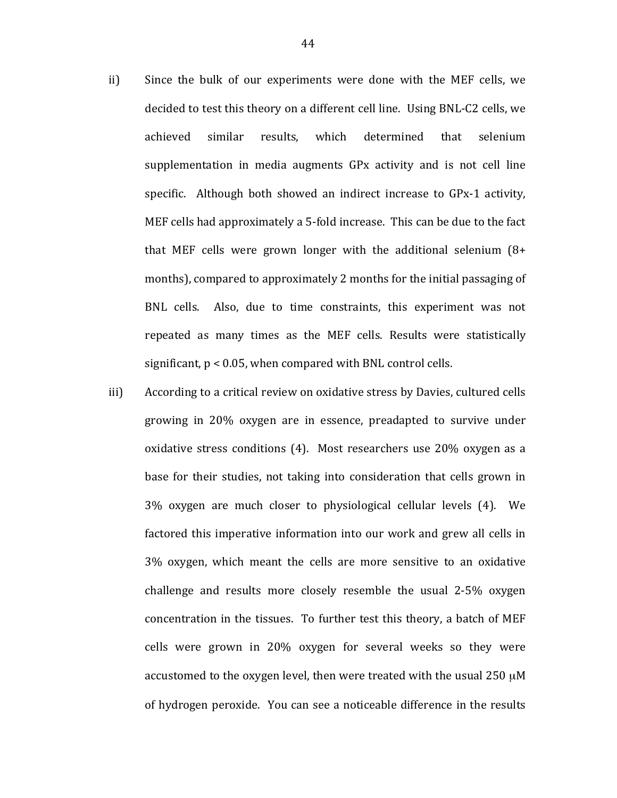- ii) Since the bulk of our experiments were done with the MEF cells, we decided to test this theory on a different cell line. Using BNL-C2 cells, we achieved similar results, which determined that selenium supplementation in media augments GPx activity and is not cell line specific. Although both showed an indirect increase to GPx-1 activity, MEF cells had approximately a 5-fold increase. This can be due to the fact that MEF cells were grown longer with the additional selenium  $(8+1)$ months), compared to approximately 2 months for the initial passaging of BNL cells. Also, due to time constraints, this experiment was not repeated as many times as the MEF cells. Results were statistically significant,  $p < 0.05$ , when compared with BNL control cells.
- iii) According to a critical review on oxidative stress by Davies, cultured cells growing in 20% oxygen are in essence, preadapted to survive under oxidative stress conditions  $(4)$ . Most researchers use 20% oxygen as a base for their studies, not taking into consideration that cells grown in  $3\%$  oxygen are much closer to physiological cellular levels  $(4)$ . We factored this imperative information into our work and grew all cells in 3% oxygen, which meant the cells are more sensitive to an oxidative challenge and results more closely resemble the usual  $2-5\%$  oxygen concentration in the tissues. To further test this theory, a batch of MEF cells were grown in 20% oxygen for several weeks so they were accustomed to the oxygen level, then were treated with the usual 250  $\mu$ M of hydrogen peroxide. You can see a noticeable difference in the results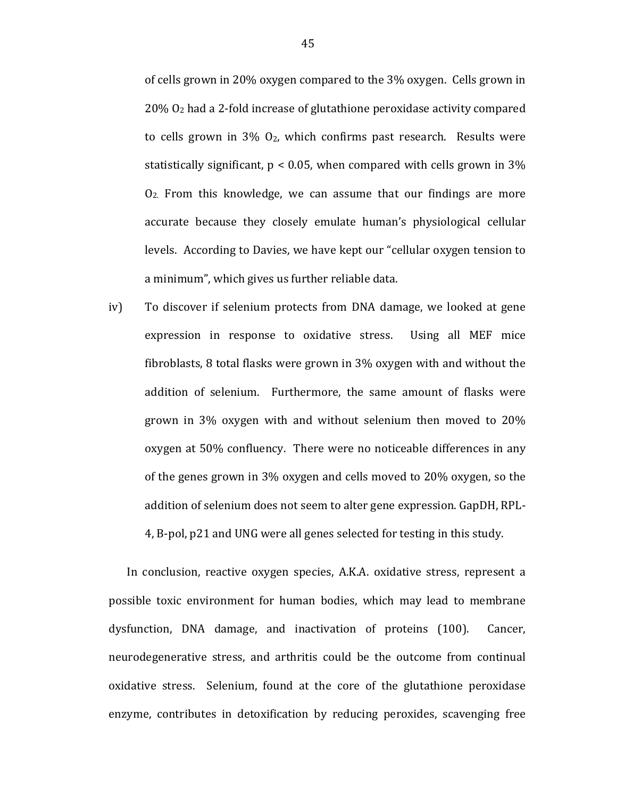of cells grown in 20% oxygen compared to the 3% oxygen. Cells grown in  $20\%$  O<sub>2</sub> had a 2-fold increase of glutathione peroxidase activity compared to cells grown in  $3\%$   $O_2$ , which confirms past research. Results were statistically significant,  $p < 0.05$ , when compared with cells grown in 3%  $O<sub>2</sub>$ . From this knowledge, we can assume that our findings are more accurate because they closely emulate human's physiological cellular levels. According to Davies, we have kept our "cellular oxygen tension to a minimum", which gives us further reliable data.

iv) To discover if selenium protects from DNA damage, we looked at gene expression in response to oxidative stress. Using all MEF mice fibroblasts, 8 total flasks were grown in  $3\%$  oxygen with and without the addition of selenium. Furthermore, the same amount of flasks were grown in  $3\%$  oxygen with and without selenium then moved to  $20\%$ oxygen at 50% confluency. There were no noticeable differences in any of the genes grown in  $3\%$  oxygen and cells moved to  $20\%$  oxygen, so the addition of selenium does not seem to alter gene expression. GapDH, RPL-4, B-pol, p21 and UNG were all genes selected for testing in this study.

In conclusion, reactive oxygen species, A.K.A. oxidative stress, represent a possible toxic environment for human bodies, which may lead to membrane dysfunction, DNA damage, and inactivation of proteins (100). Cancer, neurodegenerative stress, and arthritis could be the outcome from continual oxidative stress. Selenium, found at the core of the glutathione peroxidase enzyme, contributes in detoxification by reducing peroxides, scavenging free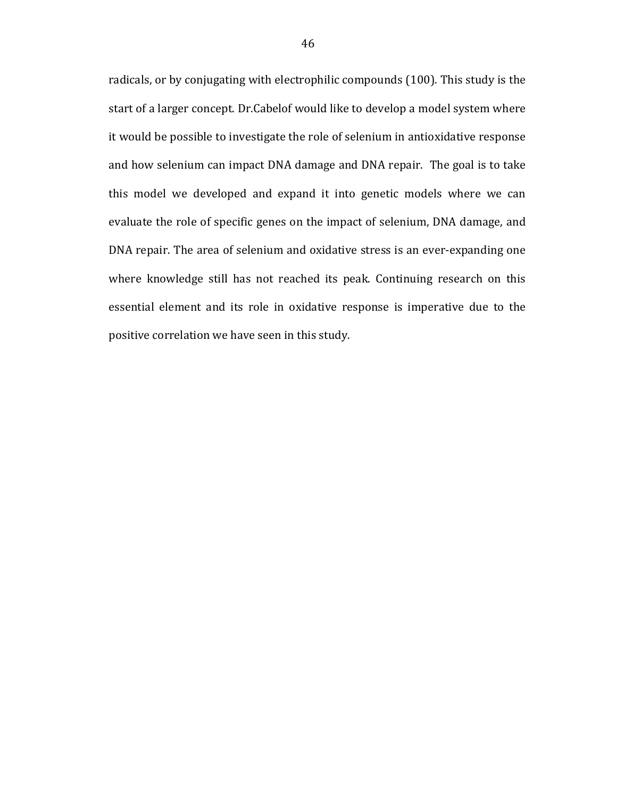radicals, or by conjugating with electrophilic compounds (100). This study is the start of a larger concept. Dr.Cabelof would like to develop a model system where it would be possible to investigate the role of selenium in antioxidative response and how selenium can impact DNA damage and DNA repair. The goal is to take this model we developed and expand it into genetic models where we can evaluate the role of specific genes on the impact of selenium, DNA damage, and DNA repair. The area of selenium and oxidative stress is an ever-expanding one where knowledge still has not reached its peak. Continuing research on this essential element and its role in oxidative response is imperative due to the positive correlation we have seen in this study.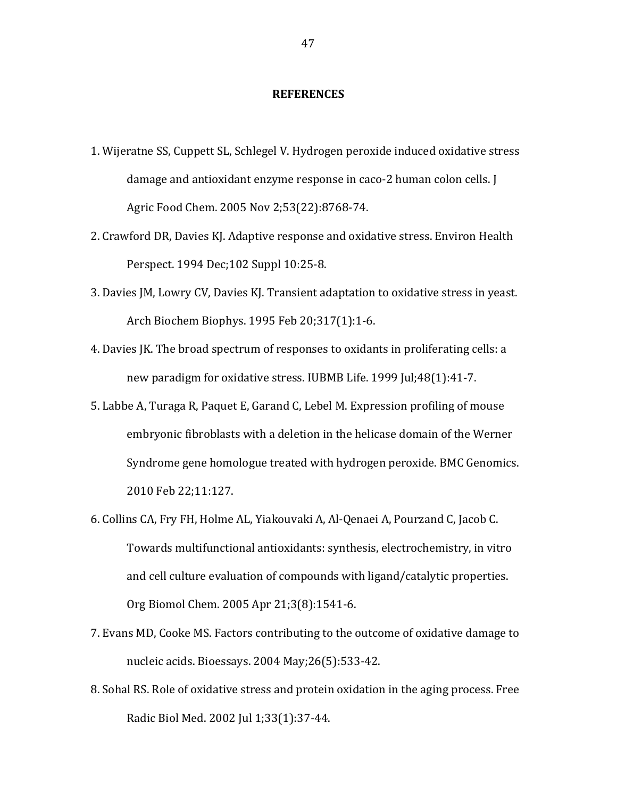#### **REFERENCES**

- 1. Wijeratne SS, Cuppett SL, Schlegel V. Hydrogen peroxide induced oxidative stress damage and antioxidant enzyme response in caco-2 human colon cells. J Agric Food Chem. 2005 Nov 2;53(22):8768-74.
- 2. Crawford DR, Davies KJ. Adaptive response and oxidative stress. Environ Health Perspect. 1994 Dec; 102 Suppl 10:25-8.
- 3. Davies JM, Lowry CV, Davies KJ. Transient adaptation to oxidative stress in yeast. Arch Biochem Biophys. 1995 Feb 20;317(1):1-6.
- 4. Davies JK. The broad spectrum of responses to oxidants in proliferating cells: a new paradigm for oxidative stress. IUBMB Life. 1999 Jul;48(1):41-7.
- 5. Labbe A, Turaga R, Paquet E, Garand C, Lebel M. Expression profiling of mouse embryonic fibroblasts with a deletion in the helicase domain of the Werner Syndrome gene homologue treated with hydrogen peroxide. BMC Genomics. 2010 Feb 22;11:127.
- 6. Collins CA, Fry FH, Holme AL, Yiakouvaki A, Al-Qenaei A, Pourzand C, Jacob C. Towards multifunctional antioxidants: synthesis, electrochemistry, in vitro and cell culture evaluation of compounds with ligand/catalytic properties. Org Biomol Chem. 2005 Apr 21;3(8):1541-6.
- 7. Evans MD, Cooke MS. Factors contributing to the outcome of oxidative damage to nucleic acids. Bioessays. 2004 May; 26(5): 533-42.
- 8. Sohal RS. Role of oxidative stress and protein oxidation in the aging process. Free Radic Biol Med. 2002 Jul 1;33(1):37-44.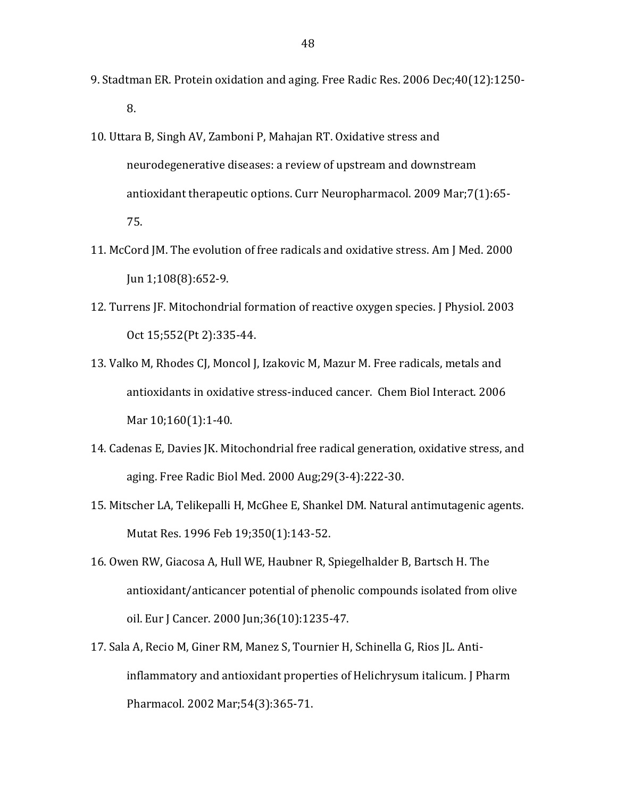- 9. Stadtman ER. Protein oxidation and aging. Free Radic Res. 2006 Dec;40(12):1250-8.
- 10. Uttara B, Singh AV, Zamboni P, Mahajan RT. Oxidative stress and neurodegenerative diseases: a review of upstream and downstream antioxidant therapeutic options. Curr Neuropharmacol. 2009 Mar;7(1):65-75.
- 11. McCord JM. The evolution of free radicals and oxidative stress. Am J Med. 2000  $\text{Jun } 1;108(8):652-9.$
- 12. Turrens JF. Mitochondrial formation of reactive oxygen species. J Physiol. 2003 Oct 15;552(Pt 2):335-44.
- 13. Valko M, Rhodes CJ, Moncol J, Izakovic M, Mazur M. Free radicals, metals and antioxidants in oxidative stress-induced cancer. Chem Biol Interact. 2006 Mar 10;160(1):1-40.
- 14. Cadenas E, Davies JK. Mitochondrial free radical generation, oxidative stress, and aging. Free Radic Biol Med. 2000 Aug;29(3-4):222-30.
- 15. Mitscher LA, Telikepalli H, McGhee E, Shankel DM. Natural antimutagenic agents. Mutat Res. 1996 Feb 19;350(1):143-52.
- 16. Owen RW, Giacosa A, Hull WE, Haubner R, Spiegelhalder B, Bartsch H. The antioxidant/anticancer potential of phenolic compounds isolated from olive oil. Eur J Cancer. 2000 Jun;36(10):1235-47.
- 17. Sala A, Recio M, Giner RM, Manez S, Tournier H, Schinella G, Rios JL. Antiinflammatory and antioxidant properties of Helichrysum italicum. J Pharm Pharmacol. 2002 Mar;54(3):365-71.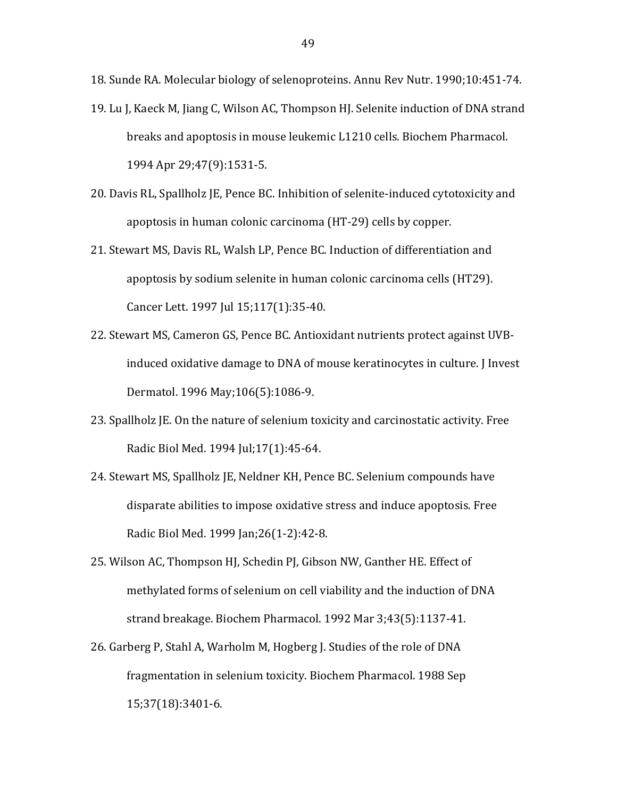18. Sunde RA. Molecular biology of selenoproteins. Annu Rev Nutr. 1990;10:451-74.

- 19. Lu J, Kaeck M, Jiang C, Wilson AC, Thompson HJ. Selenite induction of DNA strand breaks and apoptosis in mouse leukemic L1210 cells. Biochem Pharmacol. 1994 Apr 29;47(9):1531-5.
- 20. Davis RL, Spallholz JE, Pence BC. Inhibition of selenite-induced cytotoxicity and apoptosis in human colonic carcinoma (HT-29) cells by copper.
- 21. Stewart MS, Davis RL, Walsh LP, Pence BC. Induction of differentiation and apoptosis by sodium selenite in human colonic carcinoma cells (HT29). Cancer Lett. 1997 Jul 15;117(1):35-40.
- 22. Stewart MS, Cameron GS, Pence BC. Antioxidant nutrients protect against UVBinduced oxidative damage to DNA of mouse keratinocytes in culture. J Invest Dermatol. 1996 May; 106(5): 1086-9.
- 23. Spallholz JE. On the nature of selenium toxicity and carcinostatic activity. Free Radic Biol Med. 1994 Jul; 17(1): 45-64.
- 24. Stewart MS, Spallholz JE, Neldner KH, Pence BC. Selenium compounds have disparate abilities to impose oxidative stress and induce apoptosis. Free Radic Biol Med. 1999 Jan; 26(1-2): 42-8.
- 25. Wilson AC, Thompson HJ, Schedin PJ, Gibson NW, Ganther HE. Effect of methylated forms of selenium on cell viability and the induction of DNA strand breakage. Biochem Pharmacol. 1992 Mar 3;43(5):1137-41.
- 26. Garberg P, Stahl A, Warholm M, Hogberg J. Studies of the role of DNA fragmentation in selenium toxicity. Biochem Pharmacol. 1988 Sep 15;37(18):3401-6.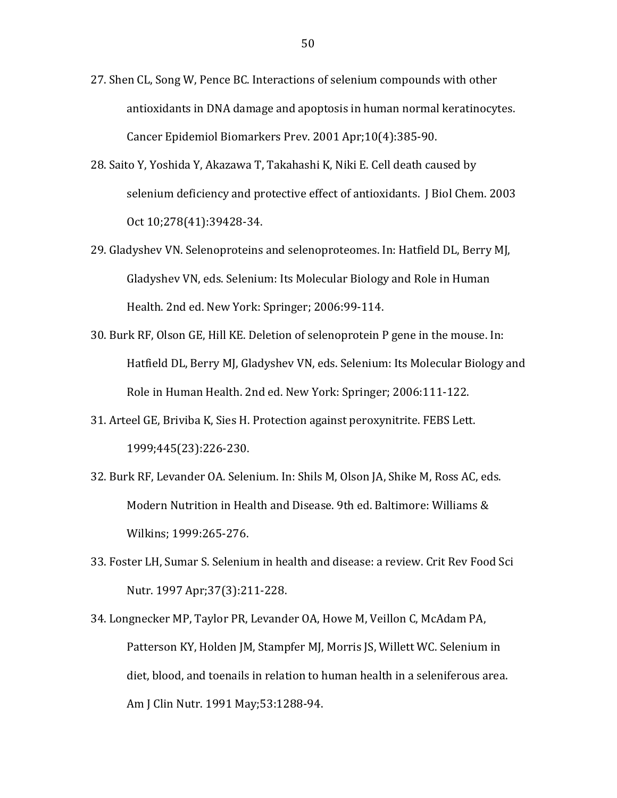- 27. Shen CL, Song W, Pence BC. Interactions of selenium compounds with other antioxidants in DNA damage and apoptosis in human normal keratinocytes. Cancer Epidemiol Biomarkers Prev. 2001 Apr;10(4):385-90.
- 28. Saito Y, Yoshida Y, Akazawa T, Takahashi K, Niki E. Cell death caused by selenium deficiency and protective effect of antioxidants. J Biol Chem. 2003 Oct 10;278(41):39428-34.
- 29. Gladyshev VN. Selenoproteins and selenoproteomes. In: Hatfield DL, Berry MJ, Gladyshey VN, eds. Selenium: Its Molecular Biology and Role in Human Health. 2nd ed. New York: Springer; 2006:99-114.
- 30. Burk RF, Olson GE, Hill KE. Deletion of selenoprotein P gene in the mouse. In: Hatfield DL, Berry MJ, Gladyshev VN, eds. Selenium: Its Molecular Biology and Role in Human Health. 2nd ed. New York: Springer; 2006:111-122.
- 31. Arteel GE, Briviba K, Sies H. Protection against peroxynitrite. FEBS Lett. 1999;445(23):226-230.
- 32. Burk RF, Levander OA. Selenium. In: Shils M, Olson JA, Shike M, Ross AC, eds. Modern Nutrition in Health and Disease, 9th ed. Baltimore: Williams & Wilkins; 1999:265-276.
- 33. Foster LH, Sumar S. Selenium in health and disease: a review. Crit Rev Food Sci Nutr. 1997 Apr;37(3):211-228.
- 34. Longnecker MP, Taylor PR, Levander OA, Howe M, Veillon C, McAdam PA, Patterson KY, Holden JM, Stampfer MJ, Morris JS, Willett WC. Selenium in diet, blood, and toenails in relation to human health in a seleniferous area. Am J Clin Nutr. 1991 May; 53:1288-94.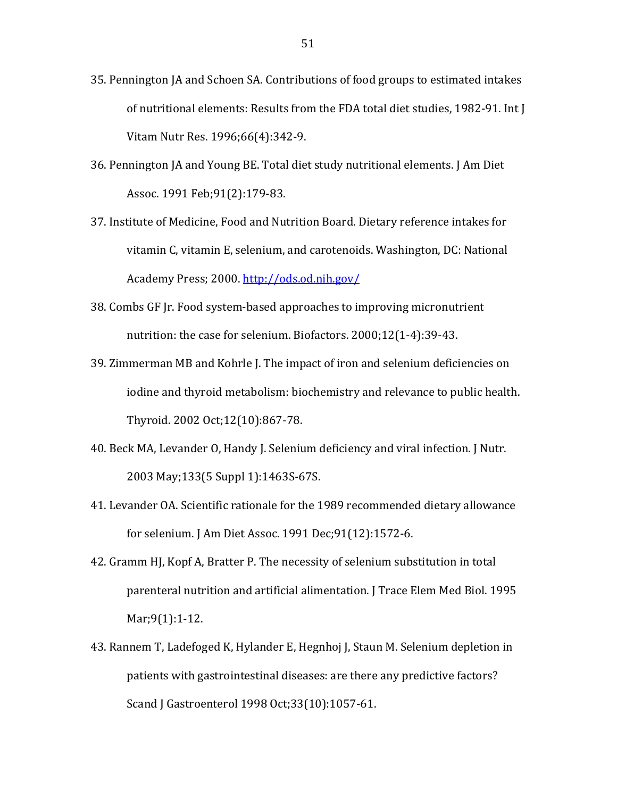- 35. Pennington JA and Schoen SA. Contributions of food groups to estimated intakes of nutritional elements: Results from the FDA total diet studies, 1982-91. Int J Vitam Nutr Res. 1996;66(4):342-9.
- 36. Pennington JA and Young BE. Total diet study nutritional elements. J Am Diet Assoc. 1991 Feb;91(2):179-83.
- 37. Institute of Medicine, Food and Nutrition Board. Dietary reference intakes for vitamin C, vitamin E, selenium, and carotenoids. Washington, DC: National Academy!Press;!2000. http://ods.od.nih.gov/
- 38. Combs GF Ir. Food system-based approaches to improving micronutrient nutrition: the case for selenium. Biofactors.  $2000;12(1-4):39-43$ .
- 39. Zimmerman MB and Kohrle J. The impact of iron and selenium deficiencies on iodine and thyroid metabolism: biochemistry and relevance to public health. Thyroid. 2002 Oct;12(10):867-78.
- 40. Beck MA, Levander O, Handy J. Selenium deficiency and viral infection. J Nutr. 2003 May;133(5 Suppl 1):1463S-67S.
- 41. Levander OA. Scientific rationale for the 1989 recommended dietary allowance for selenium. J Am Diet Assoc. 1991 Dec;91(12):1572-6.
- 42. Gramm HJ, Kopf A, Bratter P. The necessity of selenium substitution in total parenteral nutrition and artificial alimentation. J Trace Elem Med Biol. 1995 Mar; 9(1): 1-12.
- 43. Rannem T, Ladefoged K, Hylander E, Hegnhoj J, Staun M. Selenium depletion in patients with gastrointestinal diseases: are there any predictive factors? Scand J Gastroenterol 1998 Oct;33(10):1057-61.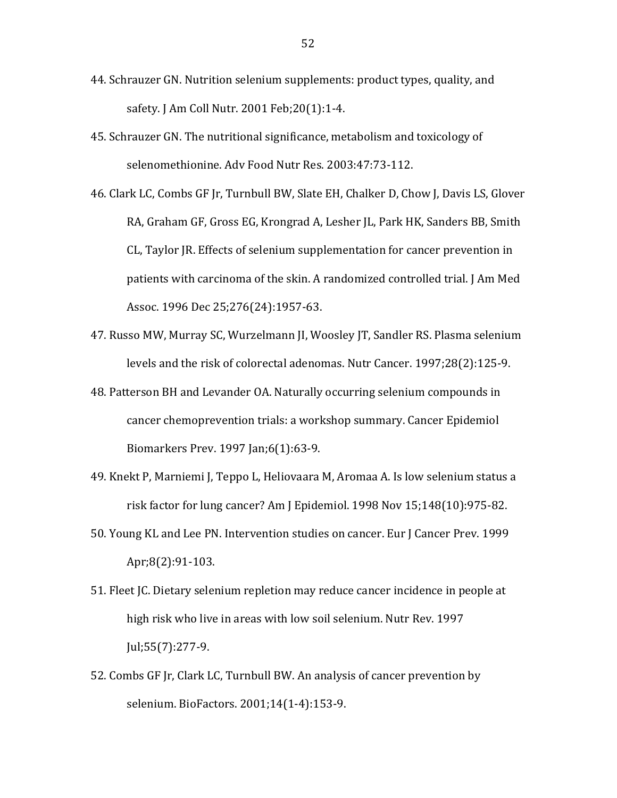- 44. Schrauzer GN. Nutrition selenium supplements: product types, quality, and safety. J Am Coll Nutr. 2001 Feb;20(1):1-4.
- 45. Schrauzer GN. The nutritional significance, metabolism and toxicology of selenomethionine. Adv Food Nutr Res. 2003:47:73-112.
- 46. Clark LC, Combs GF Jr, Turnbull BW, Slate EH, Chalker D, Chow J, Davis LS, Glover RA, Graham GF, Gross EG, Krongrad A, Lesher JL, Park HK, Sanders BB, Smith CL, Taylor JR. Effects of selenium supplementation for cancer prevention in patients with carcinoma of the skin. A randomized controlled trial. J Am Med Assoc. 1996 Dec 25;276(24):1957-63.
- 47. Russo MW, Murray SC, Wurzelmann JI, Woosley JT, Sandler RS. Plasma selenium levels and the risk of colorectal adenomas. Nutr Cancer. 1997;28(2):125-9.
- 48. Patterson BH and Levander OA. Naturally occurring selenium compounds in cancer chemoprevention trials: a workshop summary. Cancer Epidemiol Biomarkers Prev. 1997 Jan;6(1):63-9.
- 49. Knekt P, Marniemi J, Teppo L, Heliovaara M, Aromaa A. Is low selenium status a risk factor for lung cancer? Am J Epidemiol.  $1998$  Nov  $15;148(10):975-82$ .
- 50. Young KL and Lee PN. Intervention studies on cancer. Eur J Cancer Prev. 1999 Apr;8(2):91-103.
- 51. Fleet JC. Dietary selenium repletion may reduce cancer incidence in people at high risk who live in areas with low soil selenium. Nutr Rev. 1997  $\text{Jul}; 55(7): 277-9.$
- 52. Combs GF Jr, Clark LC, Turnbull BW. An analysis of cancer prevention by selenium. BioFactors. 2001;14(1-4):153-9.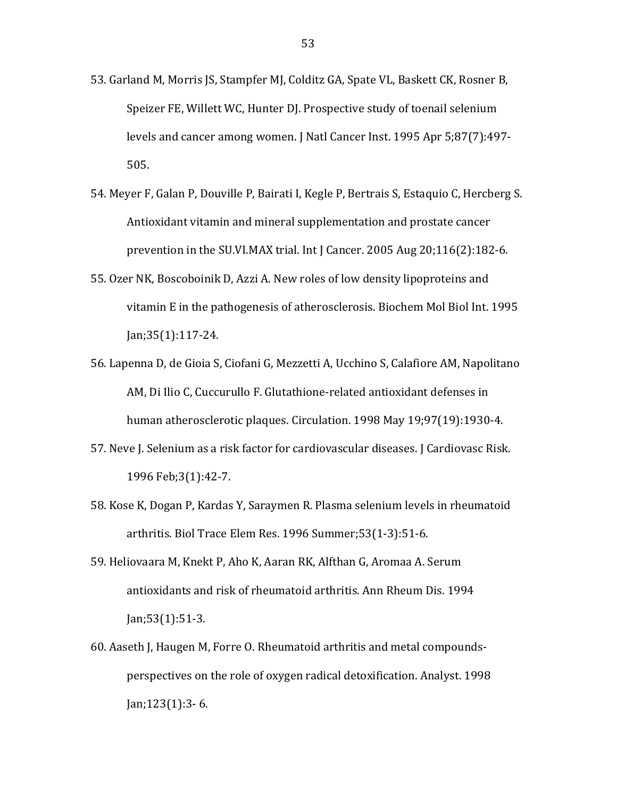- 53. Garland M, Morris JS, Stampfer MJ, Colditz GA, Spate VL, Baskett CK, Rosner B, Speizer FE, Willett WC, Hunter DJ. Prospective study of toenail selenium levels and cancer among women. J Natl Cancer Inst. 1995 Apr 5;87(7):497-505.
- 54. Meyer F, Galan P, Douville P, Bairati I, Kegle P, Bertrais S, Estaquio C, Hercberg S. Antioxidant vitamin and mineral supplementation and prostate cancer prevention in the SU.VI.MAX trial. Int J Cancer. 2005 Aug 20;116(2):182-6.
- 55. Ozer NK, Boscoboinik D, Azzi A. New roles of low density lipoproteins and vitamin E in the pathogenesis of atherosclerosis. Biochem Mol Biol Int. 1995  $jan; 35(1): 117-24.$
- 56. Lapenna D, de Gioia S, Ciofani G, Mezzetti A, Ucchino S, Calafiore AM, Napolitano AM, Di Ilio C, Cuccurullo F. Glutathione-related antioxidant defenses in human atherosclerotic plaques. Circulation. 1998 May 19;97(19):1930-4.
- 57. Neve J. Selenium as a risk factor for cardiovascular diseases. J Cardiovasc Risk. 1996 Feb; 3(1): 42-7.
- 58. Kose K, Dogan P, Kardas Y, Saraymen R. Plasma selenium levels in rheumatoid arthritis. Biol Trace Elem Res. 1996 Summer; 53(1-3): 51-6.
- 59. Heliovaara M, Knekt P, Aho K, Aaran RK, Alfthan G, Aromaa A. Serum antioxidants and risk of rheumatoid arthritis. Ann Rheum Dis. 1994  $Jan; 53(1): 51-3.$
- 60. Aaseth J, Haugen M, Forre O. Rheumatoid arthritis and metal compoundsperspectives on the role of oxygen radical detoxification. Analyst. 1998  $Jan;123(1):3-6.$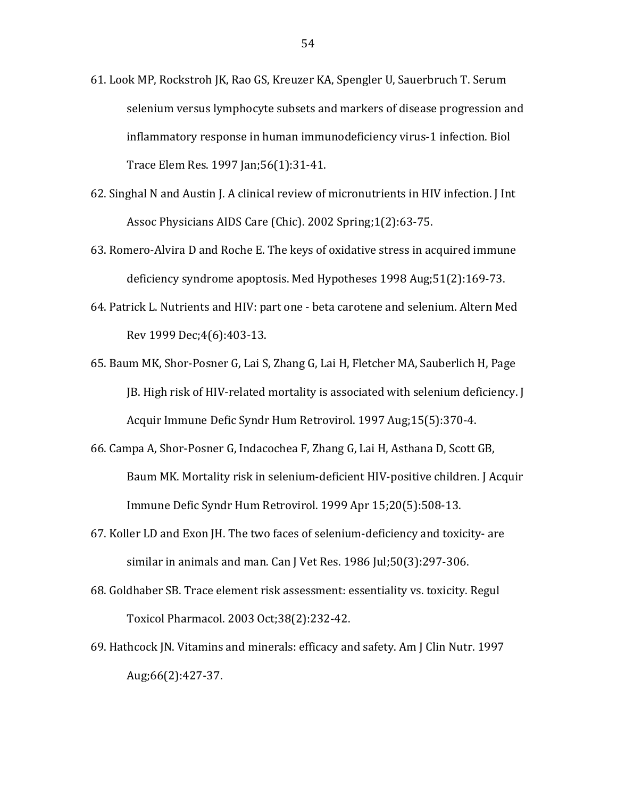- 61. Look MP, Rockstroh JK, Rao GS, Kreuzer KA, Spengler U, Sauerbruch T. Serum selenium versus lymphocyte subsets and markers of disease progression and inflammatory response in human immunodeficiency virus-1 infection. Biol Trace Elem Res. 1997 Jan; 56(1): 31-41.
- 62. Singhal N and Austin J. A clinical review of micronutrients in HIV infection. J Int Assoc Physicians AIDS Care (Chic). 2002 Spring; 1(2):63-75.
- 63. Romero-Alvira D and Roche E. The keys of oxidative stress in acquired immune deficiency syndrome apoptosis. Med Hypotheses 1998 Aug:51(2):169-73.
- 64. Patrick L. Nutrients and HIV: part one beta carotene and selenium. Altern Med Rev 1999 Dec; 4(6): 403-13.
- 65. Baum MK, Shor-Posner G, Lai S, Zhang G, Lai H, Fletcher MA, Sauberlich H, Page [B. High risk of HIV-related mortality is associated with selenium deficiency. [1] Acquir Immune Defic Syndr Hum Retrovirol. 1997 Aug; 15(5): 370-4.
- 66. Campa A, Shor-Posner G, Indacochea F, Zhang G, Lai H, Asthana D, Scott GB, Baum MK. Mortality risk in selenium-deficient HIV-positive children. J Acquir Immune Defic Syndr Hum Retrovirol. 1999 Apr 15;20(5):508-13.
- 67. Koller LD and Exon JH. The two faces of selenium-deficiency and toxicity- are similar in animals and man. Can J Vet Res. 1986 Jul; 50(3): 297-306.
- 68. Goldhaber SB. Trace element risk assessment: essentiality vs. toxicity. Regul Toxicol Pharmacol. 2003 Oct;38(2):232-42.
- 69. Hathcock JN. Vitamins and minerals: efficacy and safety. Am J Clin Nutr. 1997 Aug;66(2):427-37.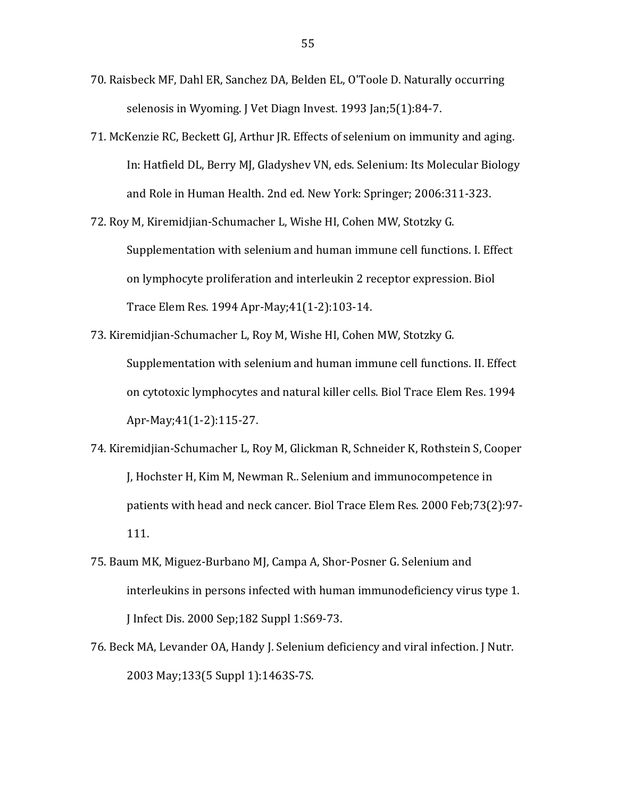- 70. Raisbeck MF, Dahl ER, Sanchez DA, Belden EL, O'Toole D. Naturally occurring selenosis in Wyoming. J Vet Diagn Invest. 1993 Jan;5(1):84-7.
- 71. McKenzie RC, Beckett GJ, Arthur JR. Effects of selenium on immunity and aging. In: Hatfield DL, Berry MJ, Gladyshev VN, eds. Selenium: Its Molecular Biology and Role in Human Health. 2nd ed. New York: Springer; 2006:311-323.
- 72. Roy M, Kiremidjian-Schumacher L, Wishe HI, Cohen MW, Stotzky G. Supplementation with selenium and human immune cell functions. I. Effect on lymphocyte proliferation and interleukin 2 receptor expression. Biol Trace Elem Res. 1994 Apr-May;41(1-2):103-14.
- 73. Kiremidjian-Schumacher L, Roy M, Wishe HI, Cohen MW, Stotzky G. Supplementation with selenium and human immune cell functions. II. Effect on cytotoxic lymphocytes and natural killer cells. Biol Trace Elem Res. 1994 Apr-May;41(1-2):115-27.
- 74. Kiremidjian-Schumacher L, Roy M, Glickman R, Schneider K, Rothstein S, Cooper J, Hochster H, Kim M, Newman R.. Selenium and immunocompetence in patients with head and neck cancer. Biol Trace Elem Res. 2000 Feb;73(2):97-111.
- 75. Baum MK, Miguez-Burbano MJ, Campa A, Shor-Posner G. Selenium and interleukins in persons infected with human immunodeficiency virus type 1. J Infect Dis. 2000 Sep;182 Suppl 1:S69-73.
- 76. Beck MA, Levander OA, Handy J. Selenium deficiency and viral infection. J Nutr. 2003 May;133(5 Suppl 1):1463S-7S.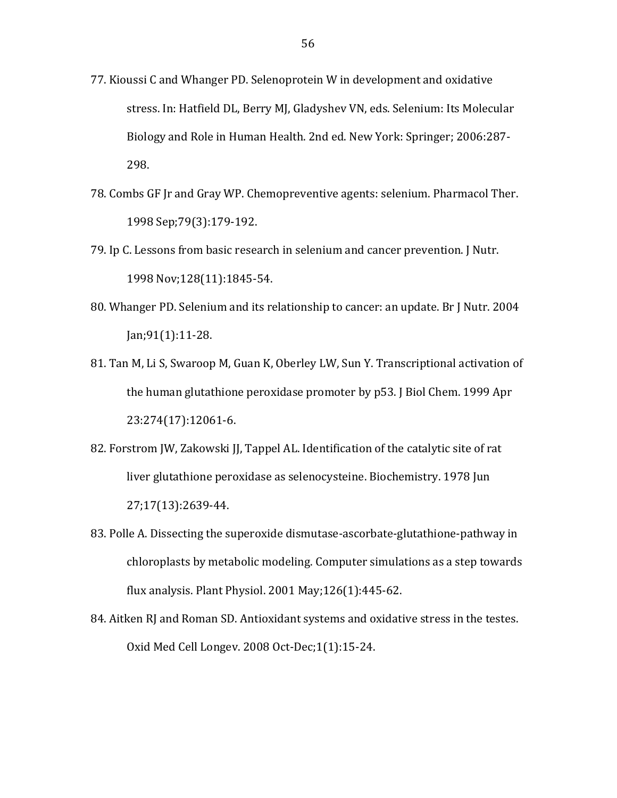- 77. Kioussi C and Whanger PD. Selenoprotein W in development and oxidative stress. In: Hatfield DL, Berry MJ, Gladyshev VN, eds. Selenium: Its Molecular Biology and Role in Human Health. 2nd ed. New York: Springer; 2006:287-298.
- 78. Combs GF Jr and Gray WP. Chemopreventive agents: selenium. Pharmacol Ther. 1998 Sep; 79(3): 179-192.
- 79. Ip C. Lessons from basic research in selenium and cancer prevention. J Nutr. 1998 Nov; 128(11): 1845-54.
- 80. Whanger PD. Selenium and its relationship to cancer: an update. Br J Nutr. 2004  $Jan; 91(1): 11-28.$
- 81. Tan M, Li S, Swaroop M, Guan K, Oberley LW, Sun Y. Transcriptional activation of the human glutathione peroxidase promoter by p53. J Biol Chem. 1999 Apr 23:274(17):12061-6.
- 82. Forstrom JW, Zakowski JJ, Tappel AL. Identification of the catalytic site of rat liver glutathione peroxidase as selenocysteine. Biochemistry. 1978 Jun 27;17(13):2639-44.
- 83. Polle A. Dissecting the superoxide dismutase-ascorbate-glutathione-pathway in chloroplasts by metabolic modeling. Computer simulations as a step towards flux analysis. Plant Physiol. 2001 May; 126(1): 445-62.
- 84. Aitken RJ and Roman SD. Antioxidant systems and oxidative stress in the testes. Oxid Med Cell Longev. 2008 Oct-Dec; 1(1): 15-24.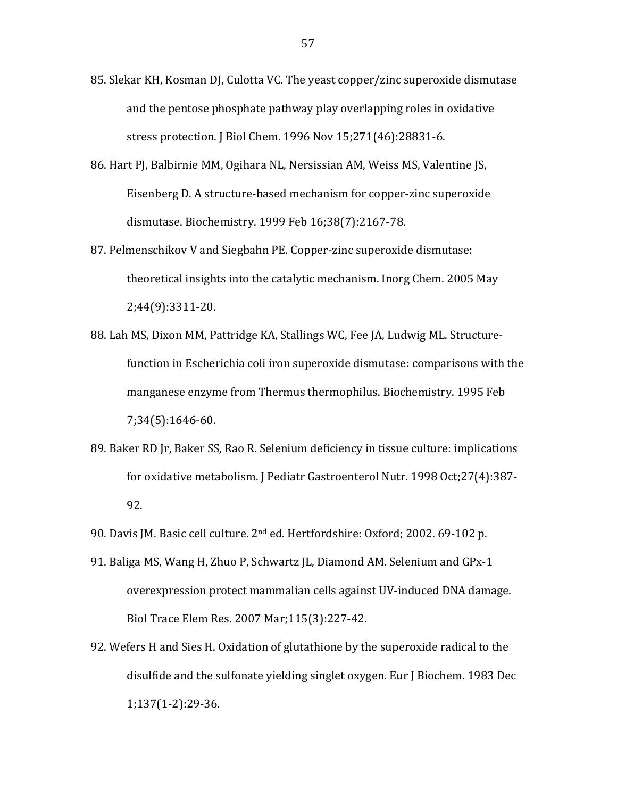- 85. Slekar KH, Kosman DJ, Culotta VC. The yeast copper/zinc superoxide dismutase and the pentose phosphate pathway play overlapping roles in oxidative stress protection. J Biol Chem. 1996 Nov 15;271(46):28831-6.
- 86. Hart PJ, Balbirnie MM, Ogihara NL, Nersissian AM, Weiss MS, Valentine JS, Eisenberg D. A structure-based mechanism for copper-zinc superoxide dismutase. Biochemistry. 1999 Feb 16;38(7):2167-78.
- 87. Pelmenschikov V and Siegbahn PE. Copper-zinc superoxide dismutase: theoretical insights into the catalytic mechanism. Inorg Chem. 2005 May 2;44(9):3311^20.
- 88. Lah MS, Dixon MM, Pattridge KA, Stallings WC, Fee JA, Ludwig ML. Structurefunction in Escherichia coli iron superoxide dismutase: comparisons with the manganese enzyme from Thermus thermophilus. Biochemistry. 1995 Feb 7;34(5):1646-60.
- 89. Baker RD Jr, Baker SS, Rao R. Selenium deficiency in tissue culture: implications for oxidative metabolism. J Pediatr Gastroenterol Nutr. 1998 Oct;27(4):387-92.
- 90. Davis JM. Basic cell culture. 2<sup>nd</sup> ed. Hertfordshire: Oxford; 2002. 69-102 p.
- 91. Baliga MS, Wang H, Zhuo P, Schwartz JL, Diamond AM. Selenium and GPx-1 overexpression protect mammalian cells against UV-induced DNA damage. Biol Trace Elem Res. 2007 Mar;115(3):227-42.
- 92. Wefers H and Sies H. Oxidation of glutathione by the superoxide radical to the disulfide and the sulfonate yielding singlet oxygen. Eur J Biochem. 1983 Dec 1;137(1-2):29-36.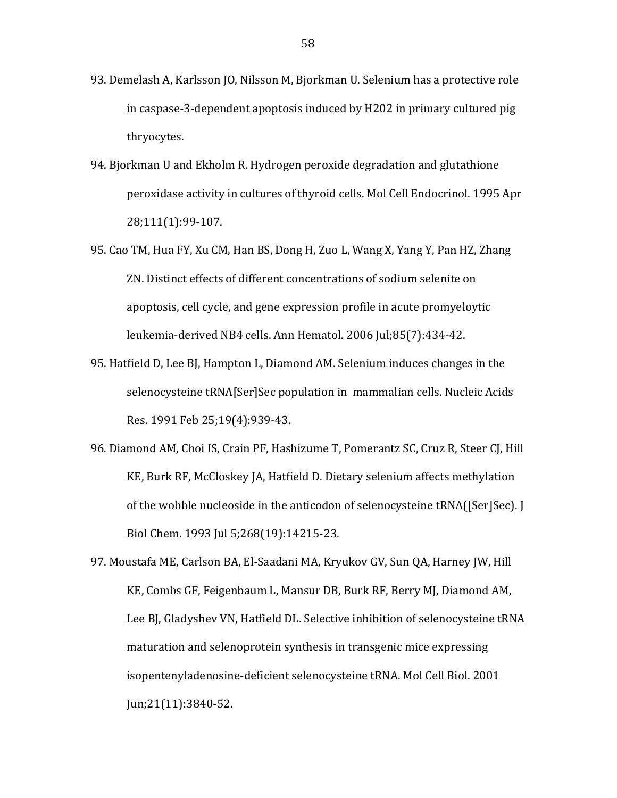- 93. Demelash A, Karlsson JO, Nilsson M, Bjorkman U. Selenium has a protective role in caspase-3-dependent apoptosis induced by H202 in primary cultured pig thryocytes.
- 94. Bjorkman U and Ekholm R. Hydrogen peroxide degradation and glutathione peroxidase activity in cultures of thyroid cells. Mol Cell Endocrinol. 1995 Apr 28;111(1):99-107.
- 95. Cao TM, Hua FY, Xu CM, Han BS, Dong H, Zuo L, Wang X, Yang Y, Pan HZ, Zhang ZN. Distinct effects of different concentrations of sodium selenite on apoptosis, cell cycle, and gene expression profile in acute promyeloytic leukemia-derived NB4 cells. Ann Hematol. 2006 Jul;85(7):434-42.
- 95. Hatfield D, Lee BJ, Hampton L, Diamond AM. Selenium induces changes in the selenocysteine tRNA[Ser]Sec population in mammalian cells. Nucleic Acids Res. 1991 Feb 25;19(4):939-43.
- 96. Diamond AM, Choi IS, Crain PF, Hashizume T, Pomerantz SC, Cruz R, Steer CJ, Hill KE, Burk RF, McCloskey JA, Hatfield D. Dietary selenium affects methylation of the wobble nucleoside in the anticodon of selenocysteine tRNA([Ser]Sec]. [ Biol Chem. 1993 Jul 5:268(19):14215-23.
- 97. Moustafa ME, Carlson BA, El-Saadani MA, Kryukov GV, Sun QA, Harney JW, Hill KE, Combs GF, Feigenbaum L, Mansur DB, Burk RF, Berry MJ, Diamond AM, Lee BJ, Gladyshev VN, Hatfield DL. Selective inhibition of selenocysteine tRNA maturation and selenoprotein synthesis in transgenic mice expressing isopentenyladenosine-deficient selenocysteine tRNA. Mol Cell Biol. 2001  $\text{Jun:}21(11):3840-52.$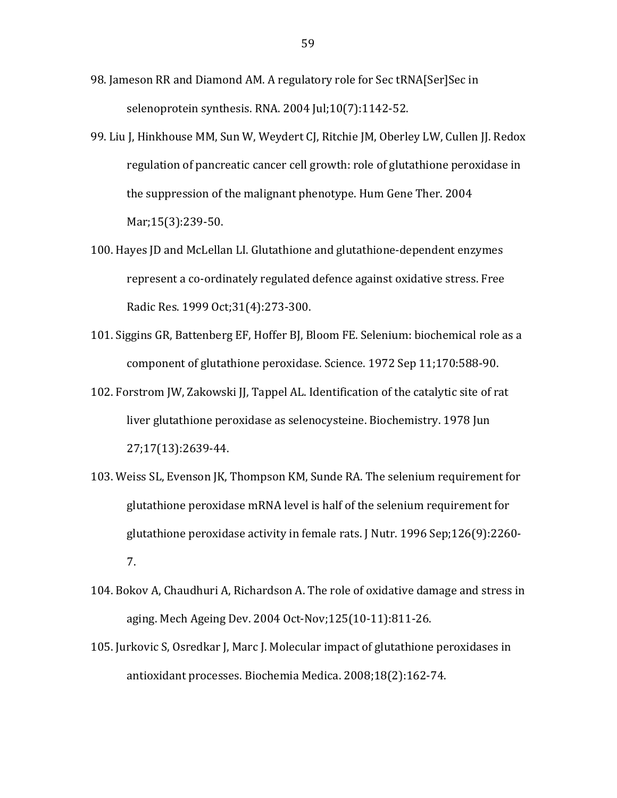- 98. Jameson RR and Diamond AM. A regulatory role for Sec tRNA [Ser] Sec in selenoprotein synthesis. RNA. 2004 Jul;10(7):1142-52.
- 99. Liu J, Hinkhouse MM, Sun W, Weydert CJ, Ritchie JM, Oberley LW, Cullen JJ. Redox regulation of pancreatic cancer cell growth: role of glutathione peroxidase in the suppression of the malignant phenotype. Hum Gene Ther. 2004 Mar; 15(3): 239-50.
- 100. Hayes JD and McLellan LI. Glutathione and glutathione-dependent enzymes represent a co-ordinately regulated defence against oxidative stress. Free Radic Res. 1999 Oct; 31(4): 273-300.
- 101. Siggins GR, Battenberg EF, Hoffer BJ, Bloom FE. Selenium: biochemical role as a component of glutathione peroxidase. Science. 1972 Sep 11;170:588-90.
- 102. Forstrom JW, Zakowski JJ, Tappel AL. Identification of the catalytic site of rat liver glutathione peroxidase as selenocysteine. Biochemistry. 1978 Jun 27;17(13):2639-44.
- 103. Weiss SL, Evenson JK, Thompson KM, Sunde RA. The selenium requirement for glutathione peroxidase mRNA level is half of the selenium requirement for glutathione peroxidase activity in female rats. J Nutr. 1996 Sep; 126(9): 2260-7.
- 104. Bokov A, Chaudhuri A, Richardson A. The role of oxidative damage and stress in aging. Mech Ageing Dev. 2004 Oct-Nov; 125(10-11): 811-26.
- 105. Jurkovic S, Osredkar J, Marc J. Molecular impact of glutathione peroxidases in antioxidant processes. Biochemia Medica. 2008;18(2):162-74.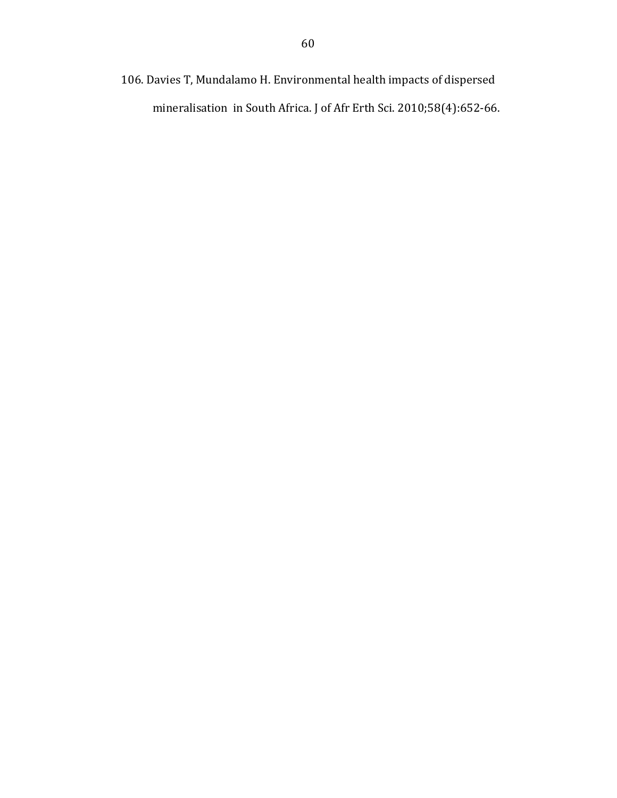106. Davies T, Mundalamo H. Environmental health impacts of dispersed mineralisation in South Africa. J of Afr Erth Sci. 2010;58(4):652-66.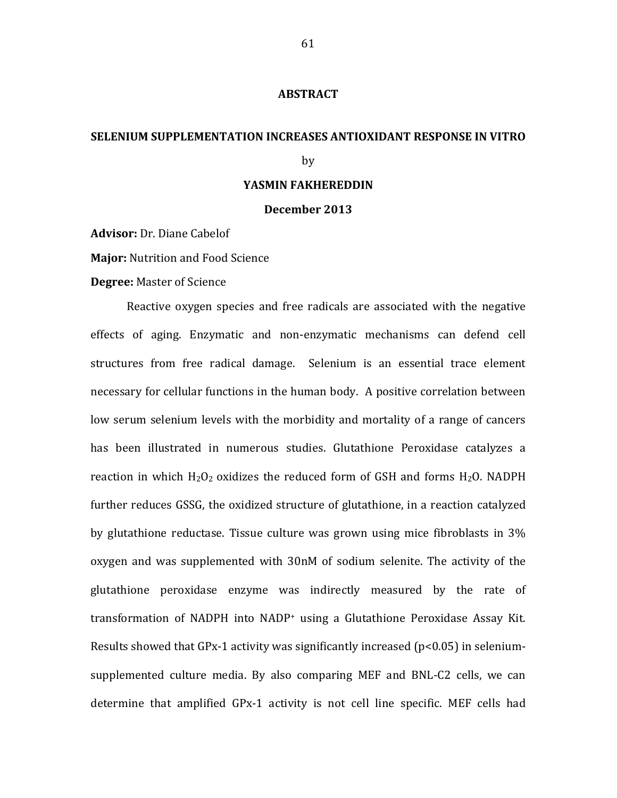#### **ABSTRACT**

# **SELENIUM SUPPLEMENTATION INCREASES ANTIOXIDANT RESPONSE IN VITRO**

#### by

#### YASMIN FAKHEREDDIN

#### December 2013

Advisor: Dr. Diane Cabelof

**Major:** Nutrition and Food Science

**Degree: Master of Science** 

Reactive oxygen species and free radicals are associated with the negative effects of aging. Enzymatic and non-enzymatic mechanisms can defend cell structures from free radical damage. Selenium is an essential trace element necessary for cellular functions in the human body. A positive correlation between low serum selenium levels with the morbidity and mortality of a range of cancers has been illustrated in numerous studies. Glutathione Peroxidase catalyzes a reaction in which  $H_2O_2$  oxidizes the reduced form of GSH and forms  $H_2O$ . NADPH further reduces GSSG, the oxidized structure of glutathione, in a reaction catalyzed by glutathione reductase. Tissue culture was grown using mice fibroblasts in  $3\%$ oxygen and was supplemented with 30nM of sodium selenite. The activity of the glutathione peroxidase enzyme was indirectly measured by the rate of transformation of NADPH into  $NADP<sup>+</sup>$  using a Glutathione Peroxidase Assay Kit. Results showed that GPx-1 activity was significantly increased ( $p<0.05$ ) in seleniumsupplemented culture media. By also comparing MEF and BNL-C2 cells, we can determine that amplified GPx-1 activity is not cell line specific. MEF cells had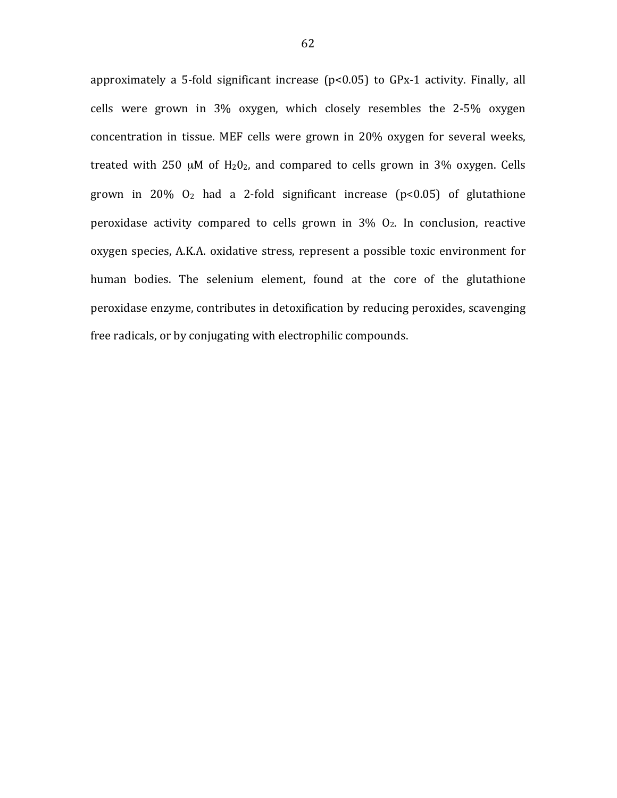approximately a 5-fold significant increase (p<0.05) to GPx-1 activity. Finally, all cells were grown in  $3\%$  oxygen, which closely resembles the 2-5% oxygen concentration in tissue. MEF cells were grown in 20% oxygen for several weeks, treated with  $250 \mu M$  of  $H_20_2$ , and compared to cells grown in 3% oxygen. Cells grown in  $20\%$   $0_2$  had a 2-fold significant increase (p<0.05) of glutathione peroxidase activity compared to cells grown in  $3\%$   $O_2$ . In conclusion, reactive oxygen species, A.K.A. oxidative stress, represent a possible toxic environment for human bodies. The selenium element, found at the core of the glutathione peroxidase enzyme, contributes in detoxification by reducing peroxides, scavenging free radicals, or by conjugating with electrophilic compounds.